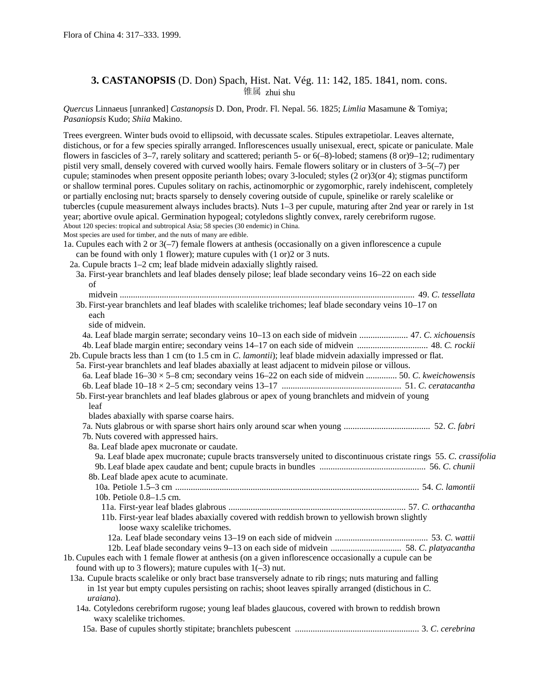# **3. CASTANOPSIS** (D. Don) Spach, Hist. Nat. Vég. 11: 142, 185. 1841, nom. cons. 锥属 zhui shu

*Quercus* Linnaeus [unranked] *Castanopsis* D. Don, Prodr. Fl. Nepal. 56. 1825; *Limlia* Masamune & Tomiya; *Pasaniopsis* Kudo; *Shiia* Makino.

Trees evergreen. Winter buds ovoid to ellipsoid, with decussate scales. Stipules extrapetiolar. Leaves alternate, distichous, or for a few species spirally arranged. Inflorescences usually unisexual, erect, spicate or paniculate. Male flowers in fascicles of 3–7, rarely solitary and scattered; perianth 5- or 6(–8)-lobed; stamens (8 or)9–12; rudimentary pistil very small, densely covered with curved woolly hairs. Female flowers solitary or in clusters of 3–5(–7) per cupule; staminodes when present opposite perianth lobes; ovary 3-loculed; styles (2 or)3(or 4); stigmas punctiform or shallow terminal pores. Cupules solitary on rachis, actinomorphic or zygomorphic, rarely indehiscent, completely or partially enclosing nut; bracts sparsely to densely covering outside of cupule, spinelike or rarely scalelike or tubercles (cupule measurement always includes bracts). Nuts 1–3 per cupule, maturing after 2nd year or rarely in 1st year; abortive ovule apical. Germination hypogeal; cotyledons slightly convex, rarely cerebriform rugose. About 120 species: tropical and subtropical Asia; 58 species (30 endemic) in China.

Most species are used for timber, and the nuts of many are edible.

1a. Cupules each with 2 or 3(–7) female flowers at anthesis (occasionally on a given inflorescence a cupule can be found with only 1 flower); mature cupules with (1 or)2 or 3 nuts.

2a. Cupule bracts 1–2 cm; leaf blade midvein adaxially slightly raised.

| 3a. First-year branchlets and leaf blades densely pilose; leaf blade secondary veins 16–22 on each side             |  |
|---------------------------------------------------------------------------------------------------------------------|--|
| of                                                                                                                  |  |
|                                                                                                                     |  |
| 3b. First-year branchlets and leaf blades with scalelike trichomes; leaf blade secondary veins 10-17 on             |  |
| each                                                                                                                |  |
| side of midvein.                                                                                                    |  |
| 4a. Leaf blade margin serrate; secondary veins 10–13 on each side of midvein  47. C. xichouensis                    |  |
| 4b. Leaf blade margin entire; secondary veins 14–17 on each side of midvein  48. C. rockii                          |  |
| 2b. Cupule bracts less than 1 cm (to 1.5 cm in C. lamontii); leaf blade midve in adaxially impressed or flat.       |  |
| 5a. First-year branchlets and leaf blades abaxially at least adjacent to midvein pilose or villous.                 |  |
| 6a. Leaf blade $16-30 \times 5-8$ cm; secondary veins $16-22$ on each side of midvein  50. C. kweichowensis         |  |
|                                                                                                                     |  |
| 5b. First-year branchlets and leaf blades glabrous or apex of young branchlets and midvein of young                 |  |
| leaf                                                                                                                |  |
| blades abaxially with sparse coarse hairs.                                                                          |  |
|                                                                                                                     |  |
| 7b. Nuts covered with appressed hairs.                                                                              |  |
| 8a. Leaf blade apex mucronate or caudate.                                                                           |  |
| 9a. Leaf blade apex mucronate; cupule bracts transversely united to discontinuous cristate rings 55. C. crassifolia |  |
|                                                                                                                     |  |
| 8b. Leaf blade apex acute to acuminate.                                                                             |  |
|                                                                                                                     |  |
| 10b. Petiole 0.8-1.5 cm.                                                                                            |  |
|                                                                                                                     |  |
| 11b. First-year leaf blades abaxially covered with reddish brown to yellowish brown slightly                        |  |
| loose waxy scalelike trichomes.                                                                                     |  |
|                                                                                                                     |  |
|                                                                                                                     |  |
| 1b. Cupules each with 1 female flower at anthesis (on a given inflorescence occasionally a cupule can be            |  |
| found with up to 3 flowers); mature cupules with $1(-3)$ nut.                                                       |  |
| 13a. Cupule bracts scalelike or only bract base transversely adnate to rib rings; nuts maturing and falling         |  |
| in 1st year but empty cupules persisting on rachis; shoot leaves spirally arranged (distichous in $C$ .             |  |
| uraiana).                                                                                                           |  |
| 14a. Cotyledons cerebriform rugose; young leaf blades glaucous, covered with brown to reddish brown                 |  |
| waxy scalelike trichomes.                                                                                           |  |
|                                                                                                                     |  |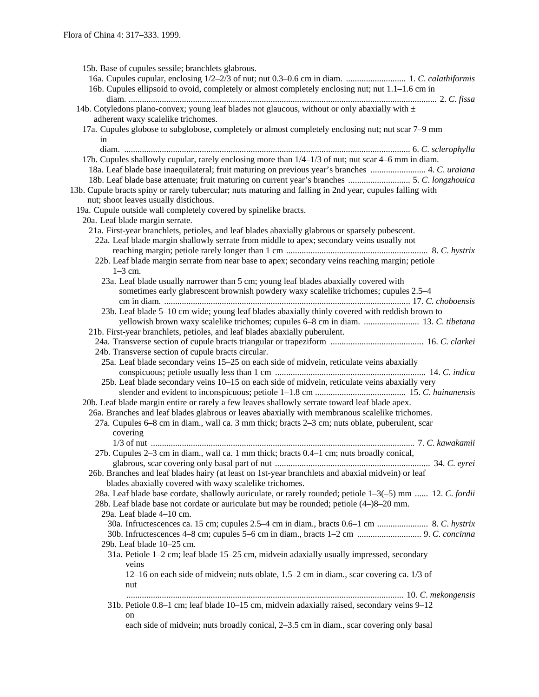15b. Base of cupules sessile; branchlets glabrous. 16a. Cupules cupular, enclosing 1/2–2/3 of nut; nut 0.3–0.6 cm in diam. ........................... 1. *C*. *calathiformis* 16b. Cupules ellipsoid to ovoid, completely or almost completely enclosing nut; nut 1.1–1.6 cm in diam. ........................................................................................................................................... 2. *C*. *fissa* 14b. Cotyledons plano-convex; young leaf blades not glaucous, without or only abaxially with  $\pm$ adherent waxy scalelike trichomes. 17a. Cupules globose to subglobose, completely or almost completely enclosing nut; nut scar 7–9 mm in diam. ................................................................................................................................. 6. *C*. *sclerophylla* 17b. Cupules shallowly cupular, rarely enclosing more than 1/4–1/3 of nut; nut scar 4–6 mm in diam. 18a. Leaf blade base inaequilateral; fruit maturing on previous year's branches ......................... 4. *C*. *uraiana* 18b. Leaf blade base attenuate; fruit maturing on current year's branches ............................ 5. *C*. *longzhouica* 13b. Cupule bracts spiny or rarely tubercular; nuts maturing and falling in 2nd year, cupules falling with nut; shoot leaves usually distichous. 19a. Cupule outside wall completely covered by spinelike bracts. 20a. Leaf blade margin serrate. 21a. First-year branchlets, petioles, and leaf blades abaxially glabrous or sparsely pubescent. 22a. Leaf blade margin shallowly serrate from middle to apex; secondary veins usually not reaching margin; petiole rarely longer than 1 cm ................................................................ 8. *C*. *hystrix* 22b. Leaf blade margin serrate from near base to apex; secondary veins reaching margin; petiole 1–3 cm. 23a. Leaf blade usually narrower than 5 cm; young leaf blades abaxially covered with sometimes early glabrescent brownish powdery waxy scalelike trichomes; cupules 2.5–4 cm in diam. ............................................................................................................... 17. *C*. *choboensis* 23b. Leaf blade 5–10 cm wide; young leaf blades abaxially thinly covered with reddish brown to yellowish brown waxy scalelike trichomes; cupules 6–8 cm in diam. ......................... 13. *C*. *tibetana* 21b. First-year branchlets, petioles, and leaf blades abaxially puberulent. 24a. Transverse section of cupule bracts triangular or trapeziform .......................................... 16. *C*. *clarkei* 24b. Transverse section of cupule bracts circular. 25a. Leaf blade secondary veins 15–25 on each side of midvein, reticulate veins abaxially conspicuous; petiole usually less than 1 cm .................................................................... 14. *C*. *indica* 25b. Leaf blade secondary veins 10–15 on each side of midvein, reticulate veins abaxially very slender and evident to inconspicuous; petiole 1–1.8 cm ......................................... 15. *C*. *hainanensis* 20b. Leaf blade margin entire or rarely a few leaves shallowly serrate toward leaf blade apex. 26a. Branches and leaf blades glabrous or leaves abaxially with membranous scalelike trichomes. 27a. Cupules 6–8 cm in diam., wall ca. 3 mm thick; bracts 2–3 cm; nuts oblate, puberulent, scar covering 1/3 of nut ....................................................................................................................... 7. *C*. *kawakamii* 27b. Cupules 2–3 cm in diam., wall ca. 1 mm thick; bracts 0.4–1 cm; nuts broadly conical, glabrous, scar covering only basal part of nut ...................................................................... 34. *C*. *eyrei* 26b. Branches and leaf blades hairy (at least on 1st-year branchlets and abaxial midvein) or leaf blades abaxially covered with waxy scalelike trichomes. 28a. Leaf blade base cordate, shallowly auriculate, or rarely rounded; petiole 1–3(–5) mm ...... 12. *C*. *fordii* 28b. Leaf blade base not cordate or auriculate but may be rounded; petiole (4–)8–20 mm. 29a. Leaf blade 4–10 cm. 30a. Infructescences ca. 15 cm; cupules 2.5–4 cm in diam., bracts 0.6–1 cm ....................... 8. *C*. *hystrix* 30b. Infructescences 4–8 cm; cupules 5–6 cm in diam., bracts 1–2 cm ............................. 9. *C*. *concinna* 29b. Leaf blade 10–25 cm. 31a. Petiole 1–2 cm; leaf blade 15–25 cm, midvein adaxially usually impressed, secondary veins 12–16 on each side of midvein; nuts oblate, 1.5–2 cm in diam., scar covering ca. 1/3 of nut ............................................................................................................................. 10. *C*. *mekongensis* 31b. Petiole 0.8–1 cm; leaf blade 10–15 cm, midvein adaxially raised, secondary veins 9–12 on each side of midvein; nuts broadly conical, 2–3.5 cm in diam., scar covering only basal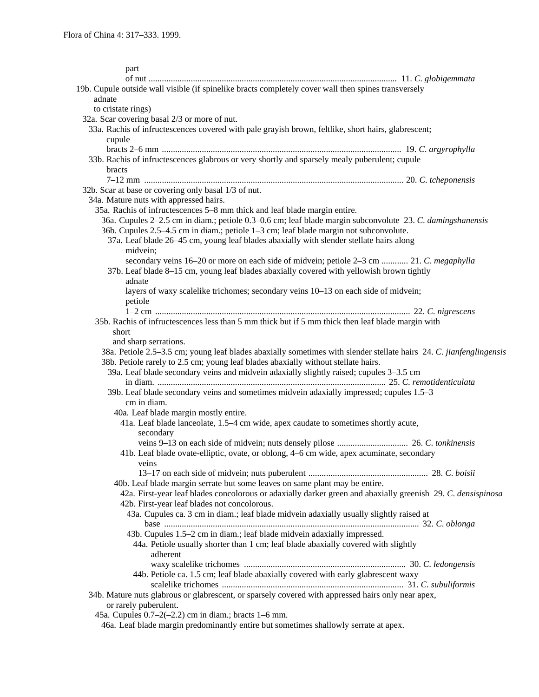| part                                                                                                                        |  |
|-----------------------------------------------------------------------------------------------------------------------------|--|
|                                                                                                                             |  |
| 19b. Cupule outside wall visible (if spinelike bracts completely cover wall then spines transversely                        |  |
| adnate                                                                                                                      |  |
| to cristate rings)                                                                                                          |  |
| 32a. Scar covering basal 2/3 or more of nut.                                                                                |  |
| 33a. Rachis of infructescences covered with pale grayish brown, feltlike, short hairs, glabrescent;                         |  |
| cupule                                                                                                                      |  |
|                                                                                                                             |  |
| 33b. Rachis of infructescences glabrous or very shortly and sparsely mealy puberulent; cupule                               |  |
| bracts                                                                                                                      |  |
|                                                                                                                             |  |
| 32b. Scar at base or covering only basal 1/3 of nut.                                                                        |  |
| 34a. Mature nuts with appressed hairs.                                                                                      |  |
| 35a. Rachis of infructescences 5-8 mm thick and leaf blade margin entire.                                                   |  |
| 36a. Cupules 2–2.5 cm in diam.; petiole 0.3–0.6 cm; leaf blade margin subconvolute 23. C. damingshanensis                   |  |
| 36b. Cupules 2.5–4.5 cm in diam.; petiole 1–3 cm; leaf blade margin not subconvolute.                                       |  |
| 37a. Leaf blade 26–45 cm, young leaf blades abaxially with slender stellate hairs along                                     |  |
| midvein;                                                                                                                    |  |
| secondary veins 16–20 or more on each side of midvein; petiole 2–3 cm  21. C. megaphylla                                    |  |
| 37b. Leaf blade 8–15 cm, young leaf blades abaxially covered with yellowish brown tightly                                   |  |
| adnate                                                                                                                      |  |
| layers of waxy scalelike trichomes; secondary veins 10-13 on each side of midvein;                                          |  |
| petiole                                                                                                                     |  |
|                                                                                                                             |  |
| 35b. Rachis of infructescences less than 5 mm thick but if 5 mm thick then leaf blade margin with                           |  |
| short                                                                                                                       |  |
| and sharp serrations.                                                                                                       |  |
| 38a. Petiole 2.5–3.5 cm; young leaf blades abaxially sometimes with slender stellate hairs 24. C. jianfenglingensis         |  |
| 38b. Petiole rarely to 2.5 cm; young leaf blades abaxially without stellate hairs.                                          |  |
| 39a. Leaf blade secondary veins and midvein adaxially slightly raised; cupules 3–3.5 cm                                     |  |
|                                                                                                                             |  |
| 39b. Leaf blade secondary veins and sometimes midvein adaxially impressed; cupules 1.5–3                                    |  |
| cm in diam.                                                                                                                 |  |
|                                                                                                                             |  |
| 40a. Leaf blade margin mostly entire.                                                                                       |  |
| 41a. Leaf blade lanceolate, 1.5-4 cm wide, apex caudate to sometimes shortly acute,                                         |  |
| secondary                                                                                                                   |  |
|                                                                                                                             |  |
| 41b. Leaf blade ovate-elliptic, ovate, or oblong, 4–6 cm wide, apex acuminate, secondary                                    |  |
| veins                                                                                                                       |  |
| 40b. Leaf blade margin serrate but some leaves on same plant may be entire.                                                 |  |
|                                                                                                                             |  |
| 42a. First-year leaf blades concolorous or adaxially darker green and abaxially greenish 29. C. densispinosa                |  |
| 42b. First-year leaf blades not concolorous.                                                                                |  |
| 43a. Cupules ca. 3 cm in diam.; leaf blade midvein adaxially usually slightly raised at                                     |  |
| 43b. Cupules 1.5–2 cm in diam.; leaf blade midvein adaxially impressed.                                                     |  |
|                                                                                                                             |  |
| 44a. Petiole usually shorter than 1 cm; leaf blade abaxially covered with slightly<br>adherent                              |  |
|                                                                                                                             |  |
| 44b. Petiole ca. 1.5 cm; leaf blade abaxially covered with early glabrescent waxy                                           |  |
| 34b. Mature nuts glabrous or glabrescent, or sparsely covered with appressed hairs only near apex,<br>or rarely puberulent. |  |
| 45a. Cupules $0.7-2(-2.2)$ cm in diam.; bracts 1-6 mm.                                                                      |  |
| 46a. Leaf blade margin predominantly entire but sometimes shallowly serrate at apex.                                        |  |
|                                                                                                                             |  |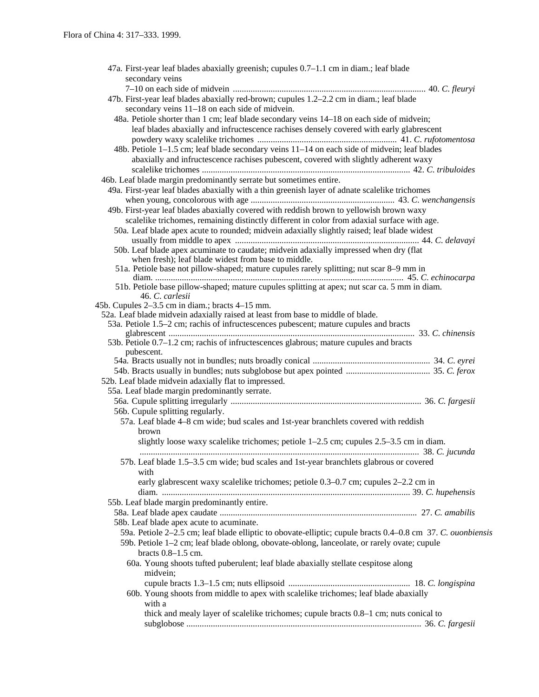| 47a. First-year leaf blades abaxially greenish; cupules 0.7–1.1 cm in diam.; leaf blade                                                                                  |
|--------------------------------------------------------------------------------------------------------------------------------------------------------------------------|
| secondary veins                                                                                                                                                          |
|                                                                                                                                                                          |
| 47b. First-year leaf blades abaxially red-brown; cupules 1.2-2.2 cm in diam.; leaf blade                                                                                 |
| secondary veins 11–18 on each side of midvein.                                                                                                                           |
| 48a. Petiole shorter than 1 cm; leaf blade secondary veins 14-18 on each side of midvein;                                                                                |
| leaf blades abaxially and infructescence rachises densely covered with early glabrescent                                                                                 |
|                                                                                                                                                                          |
| 48b. Petiole 1-1.5 cm; leaf blade secondary veins 11-14 on each side of midvein; leaf blades                                                                             |
| abaxially and infructescence rachises pubescent, covered with slightly adherent waxy                                                                                     |
|                                                                                                                                                                          |
| 46b. Leaf blade margin predominantly serrate but sometimes entire.                                                                                                       |
| 49a. First-year leaf blades abaxially with a thin greenish layer of adnate scalelike trichomes                                                                           |
|                                                                                                                                                                          |
| 49b. First-year leaf blades abaxially covered with reddish brown to yellowish brown waxy                                                                                 |
| scalelike trichomes, remaining distinctly different in color from adaxial surface with age.                                                                              |
| 50a. Leaf blade apex acute to rounded; midvein adaxially slightly raised; leaf blade widest                                                                              |
|                                                                                                                                                                          |
| 50b. Leaf blade apex acuminate to caudate; midvein adaxially impressed when dry (flat                                                                                    |
| when fresh); leaf blade widest from base to middle.                                                                                                                      |
| 51a. Petiole base not pillow-shaped; mature cupules rarely splitting; nut scar 8-9 mm in                                                                                 |
|                                                                                                                                                                          |
| 51b. Petiole base pillow-shaped; mature cupules splitting at apex; nut scar ca. 5 mm in diam.                                                                            |
| 46. C. carlesii                                                                                                                                                          |
| 45b. Cupules 2–3.5 cm in diam.; bracts 4–15 mm.                                                                                                                          |
| 52a. Leaf blade midvein adaxially raised at least from base to middle of blade.<br>53a. Petiole 1.5–2 cm; rachis of infructescences pubescent; mature cupules and bracts |
|                                                                                                                                                                          |
| 53b. Petiole 0.7–1.2 cm; rachis of infructescences glabrous; mature cupules and bracts                                                                                   |
| pubescent.                                                                                                                                                               |
|                                                                                                                                                                          |
|                                                                                                                                                                          |
| 52b. Leaf blade midvein adaxially flat to impressed.                                                                                                                     |
| 55a. Leaf blade margin predominantly serrate.                                                                                                                            |
|                                                                                                                                                                          |
| 56b. Cupule splitting regularly.                                                                                                                                         |
| 57a. Leaf blade 4-8 cm wide; bud scales and 1st-year branchlets covered with reddish                                                                                     |
| brown                                                                                                                                                                    |
| slightly loose waxy scalelike trichomes; petiole $1-2.5$ cm; cupules $2.5-3.5$ cm in diam.                                                                               |
|                                                                                                                                                                          |
| 57b. Leaf blade 1.5-3.5 cm wide; bud scales and 1st-year branchlets glabrous or covered                                                                                  |
| with                                                                                                                                                                     |
| early glabrescent waxy scalelike trichomes; petiole 0.3–0.7 cm; cupules 2–2.2 cm in                                                                                      |
|                                                                                                                                                                          |
| 55b. Leaf blade margin predominantly entire.                                                                                                                             |
|                                                                                                                                                                          |
| 58b. Leaf blade apex acute to acuminate.                                                                                                                                 |
| 59a. Petiole 2-2.5 cm; leaf blade elliptic to obovate-elliptic; cupule bracts 0.4-0.8 cm 37. C. ouonbiensis                                                              |
| 59b. Petiole 1-2 cm; leaf blade oblong, obovate-oblong, lanceolate, or rarely ovate; cupule                                                                              |
| bracts $0.8-1.5$ cm.                                                                                                                                                     |
| 60a. Young shoots tufted puberulent; leaf blade abaxially stellate cespitose along                                                                                       |
| midvein;                                                                                                                                                                 |
|                                                                                                                                                                          |
| 60b. Young shoots from middle to apex with scalelike trichomes; leaf blade abaxially                                                                                     |
| with a                                                                                                                                                                   |
| thick and mealy layer of scalelike trichomes; cupule bracts 0.8–1 cm; nuts conical to                                                                                    |
|                                                                                                                                                                          |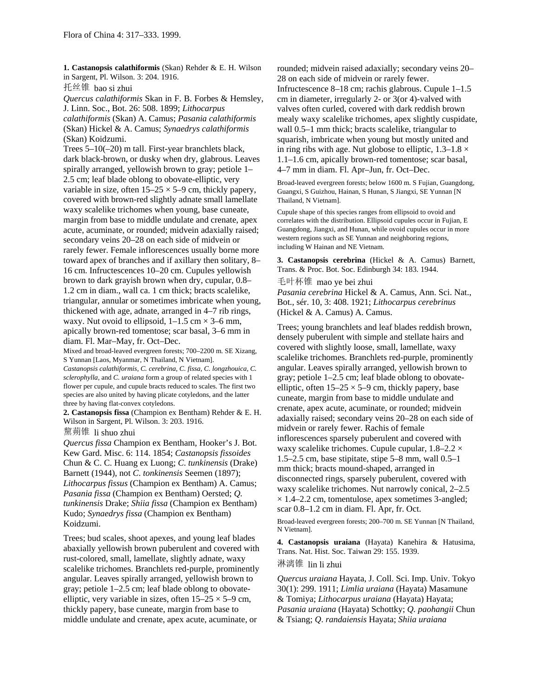**1. Castanopsis calathiformis** (Skan) Rehder & E. H. Wilson in Sargent, Pl. Wilson. 3: 204. 1916.

托丝锥 bao si zhui

*Quercus calathiformis* Skan in F. B. Forbes & Hemsley, J. Linn. Soc., Bot. 26: 508. 1899; *Lithocarpus calathiformis* (Skan) A. Camus; *Pasania calathiformis* (Skan) Hickel & A. Camus; *Synaedrys calathiformis* (Skan) Koidzumi.

Trees 5–10(–20) m tall. First-year branchlets black, dark black-brown, or dusky when dry, glabrous. Leaves spirally arranged, yellowish brown to gray; petiole 1– 2.5 cm; leaf blade oblong to obovate-elliptic, very variable in size, often  $15-25 \times 5-9$  cm, thickly papery, covered with brown-red slightly adnate small lamellate waxy scalelike trichomes when young, base cuneate, margin from base to middle undulate and crenate, apex acute, acuminate, or rounded; midvein adaxially raised; secondary veins 20–28 on each side of midvein or rarely fewer. Female inflorescences usually borne more toward apex of branches and if axillary then solitary, 8– 16 cm. Infructescences 10–20 cm. Cupules yellowish brown to dark grayish brown when dry, cupular, 0.8– 1.2 cm in diam., wall ca. 1 cm thick; bracts scalelike, triangular, annular or sometimes imbricate when young, thickened with age, adnate, arranged in 4–7 rib rings, waxy. Nut ovoid to ellipsoid,  $1-1.5$  cm  $\times$  3–6 mm, apically brown-red tomentose; scar basal, 3–6 mm in diam. Fl. Mar–May, fr. Oct–Dec.

Mixed and broad-leaved evergreen forests; 700–2200 m. SE Xizang, S Yunnan [Laos, Myanmar, N Thailand, N Vietnam]. *Castanopsis calathiformis, C. cerebrina, C. fissa, C. longzhouica, C. sclerophylla,* and *C. uraiana* form a group of related species with 1 flower per cupule, and cupule bracts reduced to scales. The first two species are also united by having plicate cotyledons, and the latter three by having flat-convex cotyledons.

**2. Castanopsis fissa** (Champion ex Bentham) Rehder & E. H. Wilson in Sargent, Pl. Wilson. 3: 203. 1916.

黧蒴锥 li shuo zhui

*Quercus fissa* Champion ex Bentham, Hooker's J. Bot. Kew Gard. Misc. 6: 114. 1854; *Castanopsis fissoides* Chun & C. C. Huang ex Luong; *C*. *tunkinensis* (Drake) Barnett (1944), not *C*. *tonkinensis* Seemen (1897); *Lithocarpus fissus* (Champion ex Bentham) A. Camus; *Pasania fissa* (Champion ex Bentham) Oersted; *Q. tunkinensis* Drake; *Shiia fissa* (Champion ex Bentham) Kudo; *Synaedrys fissa* (Champion ex Bentham) Koidzumi.

Trees; bud scales, shoot apexes, and young leaf blades abaxially yellowish brown puberulent and covered with rust-colored, small, lamellate, slightly adnate, waxy scalelike trichomes. Branchlets red-purple, prominently angular. Leaves spirally arranged, yellowish brown to gray; petiole 1–2.5 cm; leaf blade oblong to obovateelliptic, very variable in sizes, often  $15-25 \times 5-9$  cm, thickly papery, base cuneate, margin from base to middle undulate and crenate, apex acute, acuminate, or

rounded; midvein raised adaxially; secondary veins 20– 28 on each side of midvein or rarely fewer. Infructescence 8–18 cm; rachis glabrous. Cupule 1–1.5 cm in diameter, irregularly 2- or 3(or 4)-valved with valves often curled, covered with dark reddish brown mealy waxy scalelike trichomes, apex slightly cuspidate, wall 0.5–1 mm thick; bracts scalelike, triangular to squarish, imbricate when young but mostly united and in ring ribs with age. Nut globose to elliptic,  $1.3-1.8 \times$ 1.1–1.6 cm, apically brown-red tomentose; scar basal, 4–7 mm in diam. Fl. Apr–Jun, fr. Oct–Dec.

Broad-leaved evergreen forests; below 1600 m. S Fujian, Guangdong, Guangxi, S Guizhou, Hainan, S Hunan, S Jiangxi, SE Yunnan [N Thailand, N Vietnam].

Cupule shape of this species ranges from ellipsoid to ovoid and correlates with the distribution. Ellipsoid cupules occur in Fujian, E Guangdong, Jiangxi, and Hunan, while ovoid cupules occur in more western regions such as SE Yunnan and neighboring regions, including W Hainan and NE Vietnam.

**3. Castanopsis cerebrina** (Hickel & A. Camus) Barnett, Trans. & Proc. Bot. Soc. Edinburgh 34: 183. 1944.

毛叶杯锥 mao ye bei zhui

*Pasania cerebrina* Hickel & A. Camus, Ann. Sci. Nat., Bot., sér. 10, 3: 408. 1921; *Lithocarpus cerebrinus* (Hickel & A. Camus) A. Camus.

Trees; young branchlets and leaf blades reddish brown, densely puberulent with simple and stellate hairs and covered with slightly loose, small, lamellate, waxy scalelike trichomes. Branchlets red-purple, prominently angular. Leaves spirally arranged, yellowish brown to gray; petiole 1–2.5 cm; leaf blade oblong to obovateelliptic, often  $15-25 \times 5-9$  cm, thickly papery, base cuneate, margin from base to middle undulate and crenate, apex acute, acuminate, or rounded; midvein adaxially raised; secondary veins 20–28 on each side of midvein or rarely fewer. Rachis of female inflorescences sparsely puberulent and covered with waxy scalelike trichomes. Cupule cupular,  $1.8-2.2 \times$ 1.5–2.5 cm, base stipitate, stipe 5–8 mm, wall 0.5–1 mm thick; bracts mound-shaped, arranged in disconnected rings, sparsely puberulent, covered with waxy scalelike trichomes. Nut narrowly conical, 2–2.5  $\times$  1.4–2.2 cm, tomentulose, apex sometimes 3-angled; scar 0.8–1.2 cm in diam. Fl. Apr, fr. Oct.

Broad-leaved evergreen forests; 200–700 m. SE Yunnan [N Thailand, N Vietnam].

**4. Castanopsis uraiana** (Hayata) Kanehira & Hatusima, Trans. Nat. Hist. Soc. Taiwan 29: 155. 1939.

淋漓锥 lin li zhui

*Quercus uraiana* Hayata, J. Coll. Sci. Imp. Univ. Tokyo 30(1): 299. 1911; *Limlia uraiana* (Hayata) Masamune & Tomiya; *Lithocarpus uraiana* (Hayata) Hayata; *Pasania uraiana* (Hayata) Schottky; *Q. paohangii* Chun & Tsiang; *Q*. *randaiensis* Hayata; *Shiia uraiana*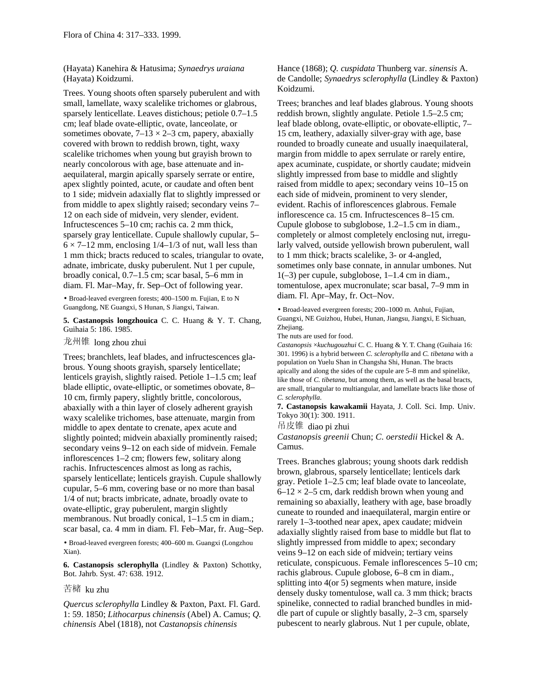(Hayata) Kanehira & Hatusima; *Synaedrys uraiana* (Hayata) Koidzumi.

Trees. Young shoots often sparsely puberulent and with small, lamellate, waxy scalelike trichomes or glabrous, sparsely lenticellate. Leaves distichous; petiole 0.7–1.5 cm; leaf blade ovate-elliptic, ovate, lanceolate, or sometimes obovate,  $7-13 \times 2-3$  cm, papery, abaxially covered with brown to reddish brown, tight, waxy scalelike trichomes when young but grayish brown to nearly concolorous with age, base attenuate and inaequilateral, margin apically sparsely serrate or entire, apex slightly pointed, acute, or caudate and often bent to 1 side; midvein adaxially flat to slightly impressed or from middle to apex slightly raised; secondary veins 7– 12 on each side of midvein, very slender, evident. Infructescences 5–10 cm; rachis ca. 2 mm thick, sparsely gray lenticellate. Cupule shallowly cupular, 5–  $6 \times 7$ –12 mm, enclosing 1/4–1/3 of nut, wall less than 1 mm thick; bracts reduced to scales, triangular to ovate, adnate, imbricate, dusky puberulent. Nut 1 per cupule, broadly conical, 0.7–1.5 cm; scar basal, 5–6 mm in diam. Fl. Mar–May, fr. Sep–Oct of following year.

• Broad-leaved evergreen forests; 400–1500 m. Fujian, E to N Guangdong, NE Guangxi, S Hunan, S Jiangxi, Taiwan.

**5. Castanopsis longzhouica** C. C. Huang & Y. T. Chang, Guihaia 5: 186. 1985.

龙州锥 long zhou zhui

Trees; branchlets, leaf blades, and infructescences glabrous. Young shoots grayish, sparsely lenticellate; lenticels grayish, slightly raised. Petiole 1–1.5 cm; leaf blade elliptic, ovate-elliptic, or sometimes obovate, 8– 10 cm, firmly papery, slightly brittle, concolorous, abaxially with a thin layer of closely adherent grayish waxy scalelike trichomes, base attenuate, margin from middle to apex dentate to crenate, apex acute and slightly pointed; midvein abaxially prominently raised; secondary veins 9–12 on each side of midvein. Female inflorescences 1–2 cm; flowers few, solitary along rachis. Infructescences almost as long as rachis, sparsely lenticellate; lenticels grayish. Cupule shallowly cupular, 5–6 mm, covering base or no more than basal 1/4 of nut; bracts imbricate, adnate, broadly ovate to ovate-elliptic, gray puberulent, margin slightly membranous. Nut broadly conical,  $1-1.5$  cm in diam.; scar basal, ca. 4 mm in diam. Fl. Feb–Mar, fr. Aug–Sep.

• Broad-leaved evergreen forests; 400–600 m. Guangxi (Longzhou Xian).

**6. Castanopsis sclerophylla** (Lindley & Paxton) Schottky, Bot. Jahrb. Syst. 47: 638. 1912.

苦槠 ku zhu

*Quercus sclerophylla* Lindley & Paxton, Paxt. Fl. Gard. 1: 59. 1850; *Lithocarpus chinensis* (Abel) A. Camus; *Q. chinensis* Abel (1818), not *Castanopsis chinensis*

Hance (1868); *Q. cuspidata* Thunberg var. *sinensis* A. de Candolle; *Synaedrys sclerophylla* (Lindley & Paxton) Koidzumi.

Trees; branches and leaf blades glabrous. Young shoots reddish brown, slightly angulate. Petiole 1.5–2.5 cm; leaf blade oblong, ovate-elliptic, or obovate-elliptic, 7– 15 cm, leathery, adaxially silver-gray with age, base rounded to broadly cuneate and usually inaequilateral, margin from middle to apex serrulate or rarely entire, apex acuminate, cuspidate, or shortly caudate; midvein slightly impressed from base to middle and slightly raised from middle to apex; secondary veins 10–15 on each side of midvein, prominent to very slender, evident. Rachis of inflorescences glabrous. Female inflorescence ca. 15 cm. Infructescences 8–15 cm. Cupule globose to subglobose, 1.2–1.5 cm in diam., completely or almost completely enclosing nut, irregularly valved, outside yellowish brown puberulent, wall to 1 mm thick; bracts scalelike, 3- or 4-angled, sometimes only base connate, in annular umbones. Nut  $1(-3)$  per cupule, subglobose,  $1-1.4$  cm in diam., tomentulose, apex mucronulate; scar basal, 7–9 mm in diam. Fl. Apr–May, fr. Oct–Nov.

• Broad-leaved evergreen forests; 200–1000 m. Anhui, Fujian, Guangxi, NE Guizhou, Hubei, Hunan, Jiangsu, Jiangxi, E Sichuan, Zhejiang.

The nuts are used for food.

*Castanopsis* ×*kuchugouzhui* C. C. Huang & Y. T. Chang (Guihaia 16: 301. 1996) is a hybrid between *C. sclerophylla* and *C. tibetana* with a population on Yuelu Shan in Changsha Shi, Hunan. The bracts apically and along the sides of the cupule are 5–8 mm and spinelike, like those of *C. tibetana,* but among them, as well as the basal bracts, are small, triangular to multiangular, and lamellate bracts like those of *C. sclerophylla*.

**7. Castanopsis kawakamii** Hayata, J. Coll. Sci. Imp. Univ. Tokyo 30(1): 300. 1911.

吊皮锥 diao pi zhui

*Castanopsis greenii* Chun; *C*. *oerstedii* Hickel & A. Camus.

Trees. Branches glabrous; young shoots dark reddish brown, glabrous, sparsely lenticellate; lenticels dark gray. Petiole 1–2.5 cm; leaf blade ovate to lanceolate,  $6-12 \times 2-5$  cm, dark reddish brown when young and remaining so abaxially, leathery with age, base broadly cuneate to rounded and inaequilateral, margin entire or rarely 1–3-toothed near apex, apex caudate; midvein adaxially slightly raised from base to middle but flat to slightly impressed from middle to apex; secondary veins 9–12 on each side of midvein; tertiary veins reticulate, conspicuous. Female inflorescences 5–10 cm; rachis glabrous. Cupule globose, 6–8 cm in diam., splitting into 4(or 5) segments when mature, inside densely dusky tomentulose, wall ca. 3 mm thick; bracts spinelike, connected to radial branched bundles in middle part of cupule or slightly basally, 2–3 cm, sparsely pubescent to nearly glabrous. Nut 1 per cupule, oblate,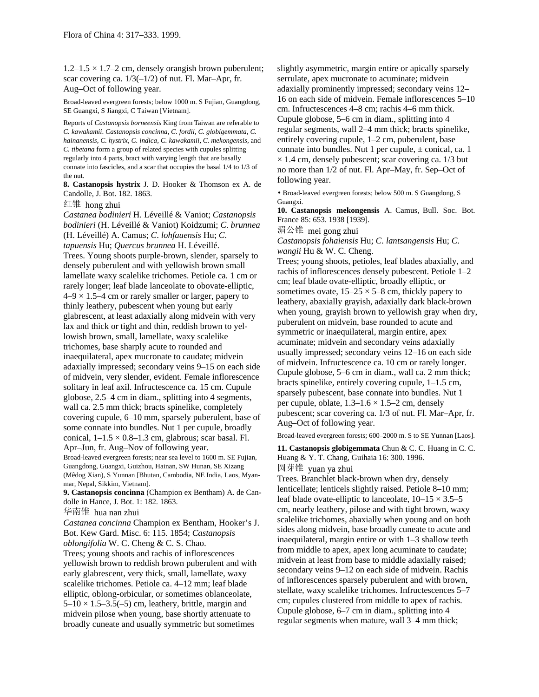$1.2-1.5 \times 1.7-2$  cm, densely orangish brown puberulent; scar covering ca.  $1/3(-1/2)$  of nut. Fl. Mar–Apr, fr. Aug–Oct of following year.

Broad-leaved evergreen forests; below 1000 m. S Fujian, Guangdong, SE Guangxi, S Jiangxi, C Taiwan [Vietnam].

Reports of *Castanopsis borneensis* King from Taiwan are referable to *C. kawakamii*. *Castanopsis concinna, C. fordii, C. globigemmata, C. hainanensis, C. hystrix, C. indica, C. kawakamii, C. mekongensis,* and *C. tibetana* form a group of related species with cupules splitting regularly into 4 parts, bract with varying length that are basally connate into fascicles, and a scar that occupies the basal 1/4 to 1/3 of the nut.

**8. Castanopsis hystrix** J. D. Hooker & Thomson ex A. de Candolle, J. Bot. 182. 1863.

红锥 hong zhui

*Castanea bodinieri* H. Léveillé & Vaniot; *Castanopsis bodinieri* (H. Léveillé & Vaniot) Koidzumi; *C*. *brunnea* (H. Léveillé) A. Camus; *C*. *lohfauensis* Hu; *C*. *tapuensis* Hu; *Quercus brunnea* H. Léveillé. Trees. Young shoots purple-brown, slender, sparsely to densely puberulent and with yellowish brown small lamellate waxy scalelike trichomes. Petiole ca. 1 cm or rarely longer; leaf blade lanceolate to obovate-elliptic,  $4-9 \times 1.5-4$  cm or rarely smaller or larger, papery to thinly leathery, pubescent when young but early glabrescent, at least adaxially along midvein with very lax and thick or tight and thin, reddish brown to yellowish brown, small, lamellate, waxy scalelike trichomes, base sharply acute to rounded and inaequilateral, apex mucronate to caudate; midvein adaxially impressed; secondary veins 9–15 on each side of midvein, very slender, evident. Female inflorescence solitary in leaf axil. Infructescence ca. 15 cm. Cupule globose, 2.5–4 cm in diam., splitting into 4 segments, wall ca. 2.5 mm thick; bracts spinelike, completely covering cupule, 6–10 mm, sparsely puberulent, base of some connate into bundles. Nut 1 per cupule, broadly conical,  $1-1.5 \times 0.8-1.3$  cm, glabrous; scar basal. Fl. Apr–Jun, fr. Aug–Nov of following year. Broad-leaved evergreen forests; near sea level to 1600 m. SE Fujian, Guangdong, Guangxi, Guizhou, Hainan, SW Hunan, SE Xizang

(Mêdog Xian), S Yunnan [Bhutan, Cambodia, NE India, Laos, Myanmar, Nepal, Sikkim, Vietnam].

**9. Castanopsis concinna** (Champion ex Bentham) A. de Candolle in Hance, J. Bot. 1: 182. 1863.

华南锥 hua nan zhui

*Castanea concinna* Champion ex Bentham, Hooker's J. Bot. Kew Gard. Misc. 6: 115. 1854; *Castanopsis oblongifolia* W. C. Cheng & C. S. Chao. Trees; young shoots and rachis of inflorescences yellowish brown to reddish brown puberulent and with early glabrescent, very thick, small, lamellate, waxy scalelike trichomes. Petiole ca. 4–12 mm; leaf blade elliptic, oblong-orbicular, or sometimes oblanceolate,  $5-10 \times 1.5-3.5(-5)$  cm, leathery, brittle, margin and midvein pilose when young, base shortly attenuate to broadly cuneate and usually symmetric but sometimes

slightly asymmetric, margin entire or apically sparsely serrulate, apex mucronate to acuminate; midvein adaxially prominently impressed; secondary veins 12– 16 on each side of midvein. Female inflorescences 5–10 cm. Infructescences 4–8 cm; rachis 4–6 mm thick. Cupule globose, 5–6 cm in diam., splitting into 4 regular segments, wall 2–4 mm thick; bracts spinelike, entirely covering cupule, 1–2 cm, puberulent, base connate into bundles. Nut 1 per cupule, ± conical, ca. 1  $\times$  1.4 cm, densely pubescent; scar covering ca. 1/3 but no more than 1/2 of nut. Fl. Apr–May, fr. Sep–Oct of following year.

• Broad-leaved evergreen forests; below 500 m. S Guangdong, S Guangxi.

**10. Castanopsis mekongensis** A. Camus, Bull. Soc. Bot. France 85: 653. 1938 [1939].

湄公锥 mei gong zhui

*Castanopsis fohaiensis* Hu; *C*. *lantsangensis* Hu; *C*. *wangii* Hu & W. C. Cheng.

Trees; young shoots, petioles, leaf blades abaxially, and rachis of inflorescences densely pubescent. Petiole 1–2 cm; leaf blade ovate-elliptic, broadly elliptic, or sometimes ovate,  $15-25 \times 5-8$  cm, thickly papery to leathery, abaxially grayish, adaxially dark black-brown when young, grayish brown to yellowish gray when dry, puberulent on midvein, base rounded to acute and symmetric or inaequilateral, margin entire, apex acuminate; midvein and secondary veins adaxially usually impressed; secondary veins 12–16 on each side of midvein. Infructescence ca. 10 cm or rarely longer. Cupule globose, 5–6 cm in diam., wall ca. 2 mm thick; bracts spinelike, entirely covering cupule, 1–1.5 cm, sparsely pubescent, base connate into bundles. Nut 1 per cupule, oblate,  $1.3-1.6 \times 1.5-2$  cm, densely pubescent; scar covering ca. 1/3 of nut. Fl. Mar–Apr, fr. Aug–Oct of following year.

Broad-leaved evergreen forests; 600–2000 m. S to SE Yunnan [Laos].

**11. Castanopsis globigemmata** Chun & C. C. Huang in C. C. Huang & Y. T. Chang, Guihaia 16: 300. 1996. 圆芽锥 yuan ya zhui

Trees. Branchlet black-brown when dry, densely lenticellate; lenticels slightly raised. Petiole 8–10 mm; leaf blade ovate-elliptic to lanceolate,  $10-15 \times 3.5-5$ cm, nearly leathery, pilose and with tight brown, waxy scalelike trichomes, abaxially when young and on both sides along midvein, base broadly cuneate to acute and inaequilateral, margin entire or with 1–3 shallow teeth from middle to apex, apex long acuminate to caudate; midvein at least from base to middle adaxially raised; secondary veins 9–12 on each side of midvein. Rachis of inflorescences sparsely puberulent and with brown, stellate, waxy scalelike trichomes. Infructescences 5–7 cm; cupules clustered from middle to apex of rachis. Cupule globose, 6–7 cm in diam., splitting into 4 regular segments when mature, wall 3–4 mm thick;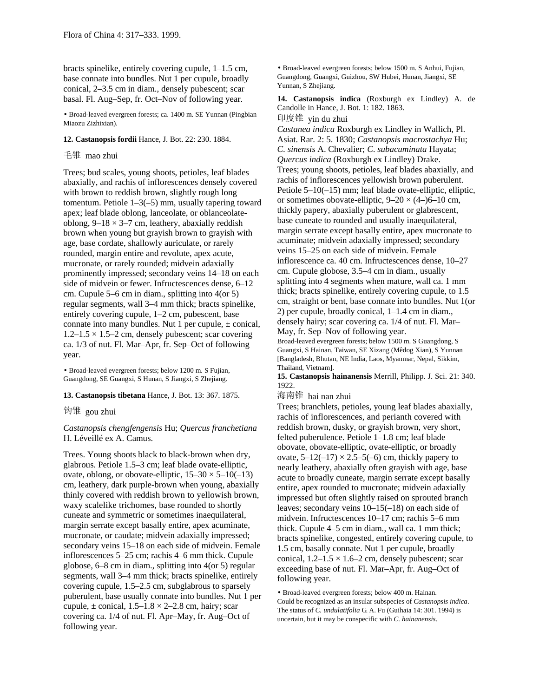bracts spinelike, entirely covering cupule, 1–1.5 cm, base connate into bundles. Nut 1 per cupule, broadly conical, 2–3.5 cm in diam., densely pubescent; scar basal. Fl. Aug–Sep, fr. Oct–Nov of following year.

• Broad-leaved evergreen forests; ca. 1400 m. SE Yunnan (Pingbian Miaozu Zizhixian).

#### **12. Castanopsis fordii** Hance, J. Bot. 22: 230. 1884.

### 毛锥 mao zhui

Trees; bud scales, young shoots, petioles, leaf blades abaxially, and rachis of inflorescences densely covered with brown to reddish brown, slightly rough long tomentum. Petiole 1–3(–5) mm, usually tapering toward apex; leaf blade oblong, lanceolate, or oblanceolateoblong,  $9-18 \times 3-7$  cm, leathery, abaxially reddish brown when young but grayish brown to grayish with age, base cordate, shallowly auriculate, or rarely rounded, margin entire and revolute, apex acute, mucronate, or rarely rounded; midvein adaxially prominently impressed; secondary veins 14–18 on each side of midvein or fewer. Infructescences dense, 6–12 cm. Cupule 5–6 cm in diam., splitting into 4(or 5) regular segments, wall 3–4 mm thick; bracts spinelike, entirely covering cupule, 1–2 cm, pubescent, base connate into many bundles. Nut 1 per cupule,  $\pm$  conical,  $1.2-1.5 \times 1.5-2$  cm, densely pubescent; scar covering ca. 1/3 of nut. Fl. Mar–Apr, fr. Sep–Oct of following year.

• Broad-leaved evergreen forests; below 1200 m. S Fujian, Guangdong, SE Guangxi, S Hunan, S Jiangxi, S Zhejiang.

#### **13. Castanopsis tibetana** Hance, J. Bot. 13: 367. 1875.

钩锥 gou zhui

*Castanopsis chengfengensis* Hu; *Quercus franchetiana* H. Léveillé ex A. Camus.

Trees. Young shoots black to black-brown when dry, glabrous. Petiole 1.5–3 cm; leaf blade ovate-elliptic, ovate, oblong, or obovate-elliptic,  $15-30 \times 5-10(-13)$ cm, leathery, dark purple-brown when young, abaxially thinly covered with reddish brown to yellowish brown, waxy scalelike trichomes, base rounded to shortly cuneate and symmetric or sometimes inaequilateral, margin serrate except basally entire, apex acuminate, mucronate, or caudate; midvein adaxially impressed; secondary veins 15–18 on each side of midvein. Female inflorescences 5–25 cm; rachis 4–6 mm thick. Cupule globose, 6–8 cm in diam., splitting into 4(or 5) regular segments, wall 3–4 mm thick; bracts spinelike, entirely covering cupule, 1.5–2.5 cm, subglabrous to sparsely puberulent, base usually connate into bundles. Nut 1 per cupule,  $\pm$  conical,  $1.5-1.8 \times 2-2.8$  cm, hairy; scar covering ca. 1/4 of nut. Fl. Apr–May, fr. Aug–Oct of following year.

• Broad-leaved evergreen forests; below 1500 m. S Anhui, Fujian, Guangdong, Guangxi, Guizhou, SW Hubei, Hunan, Jiangxi, SE Yunnan, S Zhejiang.

**14. Castanopsis indica** (Roxburgh ex Lindley) A. de Candolle in Hance, J. Bot. 1: 182. 1863. 印度锥 yin du zhui

*Castanea indica* Roxburgh ex Lindley in Wallich, Pl. Asiat. Rar. 2: 5. 1830; *Castanopsis macrostachya* Hu; *C*. *sinensis* A. Chevalier; *C*. *subacuminata* Hayata; *Quercus indica* (Roxburgh ex Lindley) Drake. Trees; young shoots, petioles, leaf blades abaxially, and rachis of inflorescences yellowish brown puberulent. Petiole 5–10(–15) mm; leaf blade ovate-elliptic, elliptic, or sometimes obovate-elliptic,  $9-20 \times (4-)6-10$  cm, thickly papery, abaxially puberulent or glabrescent, base cuneate to rounded and usually inaequilateral, margin serrate except basally entire, apex mucronate to acuminate; midvein adaxially impressed; secondary veins 15–25 on each side of midvein. Female inflorescence ca. 40 cm. Infructescences dense, 10–27 cm. Cupule globose, 3.5–4 cm in diam., usually splitting into 4 segments when mature, wall ca. 1 mm thick; bracts spinelike, entirely covering cupule, to 1.5 cm, straight or bent, base connate into bundles. Nut 1(or 2) per cupule, broadly conical, 1–1.4 cm in diam., densely hairy; scar covering ca. 1/4 of nut. Fl. Mar– May, fr. Sep–Nov of following year.

Broad-leaved evergreen forests; below 1500 m. S Guangdong, S Guangxi, S Hainan, Taiwan, SE Xizang (Mêdog Xian), S Yunnan [Bangladesh, Bhutan, NE India, Laos, Myanmar, Nepal, Sikkim, Thailand, Vietnam].

**15. Castanopsis hainanensis** Merrill, Philipp. J. Sci. 21: 340. 1922.

海南锥 hai nan zhui

Trees; branchlets, petioles, young leaf blades abaxially, rachis of inflorescences, and perianth covered with reddish brown, dusky, or grayish brown, very short, felted puberulence. Petiole 1–1.8 cm; leaf blade obovate, obovate-elliptic, ovate-elliptic, or broadly ovate,  $5-12(-17) \times 2.5-5(-6)$  cm, thickly papery to nearly leathery, abaxially often grayish with age, base acute to broadly cuneate, margin serrate except basally entire, apex rounded to mucronate; midvein adaxially impressed but often slightly raised on sprouted branch leaves; secondary veins 10–15(–18) on each side of midvein. Infructescences 10–17 cm; rachis 5–6 mm thick. Cupule 4–5 cm in diam., wall ca. 1 mm thick; bracts spinelike, congested, entirely covering cupule, to 1.5 cm, basally connate. Nut 1 per cupule, broadly conical,  $1.2-1.5 \times 1.6-2$  cm, densely pubescent; scar exceeding base of nut. Fl. Mar–Apr, fr. Aug–Oct of following year.

• Broad-leaved evergreen forests; below 400 m. Hainan. Could be recognized as an insular subspecies of *Castanopsis indica*. The status of *C. undulatifolia* G. A. Fu (Guihaia 14: 301. 1994) is uncertain, but it may be conspecific with *C. hainanensis*.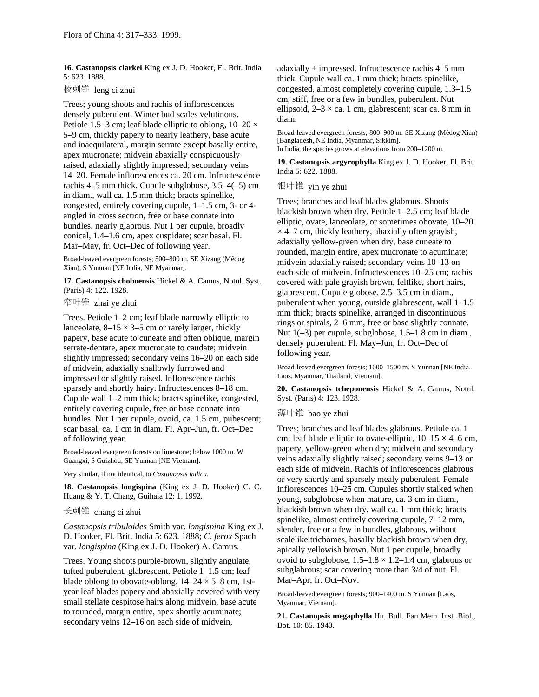**16. Castanopsis clarkei** King ex J. D. Hooker, Fl. Brit. India 5: 623. 1888.

棱刺锥 leng ci zhui

Trees; young shoots and rachis of inflorescences densely puberulent. Winter bud scales velutinous. Petiole 1.5–3 cm; leaf blade elliptic to oblong,  $10-20 \times$ 5–9 cm, thickly papery to nearly leathery, base acute and inaequilateral, margin serrate except basally entire, apex mucronate; midvein abaxially conspicuously raised, adaxially slightly impressed; secondary veins 14–20. Female inflorescences ca. 20 cm. Infructescence rachis 4–5 mm thick. Cupule subglobose, 3.5–4(–5) cm in diam., wall ca. 1.5 mm thick; bracts spinelike, congested, entirely covering cupule, 1–1.5 cm, 3- or 4 angled in cross section, free or base connate into bundles, nearly glabrous. Nut 1 per cupule, broadly conical, 1.4–1.6 cm, apex cuspidate; scar basal. Fl. Mar–May, fr. Oct–Dec of following year.

Broad-leaved evergreen forests; 500–800 m. SE Xizang (Mêdog Xian), S Yunnan [NE India, NE Myanmar].

**17. Castanopsis choboensis** Hickel & A. Camus, Notul. Syst. (Paris) 4: 122. 1928.

窄叶锥 zhai ye zhui

Trees. Petiole 1–2 cm; leaf blade narrowly elliptic to lanceolate,  $8-15 \times 3-5$  cm or rarely larger, thickly papery, base acute to cuneate and often oblique, margin serrate-dentate, apex mucronate to caudate; midvein slightly impressed; secondary veins 16–20 on each side of midvein, adaxially shallowly furrowed and impressed or slightly raised. Inflorescence rachis sparsely and shortly hairy. Infructescences 8–18 cm. Cupule wall 1–2 mm thick; bracts spinelike, congested, entirely covering cupule, free or base connate into bundles. Nut 1 per cupule, ovoid, ca. 1.5 cm, pubescent; scar basal, ca. 1 cm in diam. Fl. Apr–Jun, fr. Oct–Dec of following year.

Broad-leaved evergreen forests on limestone; below 1000 m. W Guangxi, S Guizhou, SE Yunnan [NE Vietnam].

Very similar, if not identical, to *Castanopsis indica*.

**18. Castanopsis longispina** (King ex J. D. Hooker) C. C. Huang & Y. T. Chang, Guihaia 12: 1. 1992.

#### 长刺锥 chang ci zhui

*Castanopsis tribuloides* Smith var. *longispina* King ex J. D. Hooker, Fl. Brit. India 5: 623. 1888; *C*. *ferox* Spach var. *longispina* (King ex J. D. Hooker) A. Camus.

Trees. Young shoots purple-brown, slightly angulate, tufted puberulent, glabrescent. Petiole 1–1.5 cm; leaf blade oblong to obovate-oblong,  $14-24 \times 5-8$  cm, 1styear leaf blades papery and abaxially covered with very small stellate cespitose hairs along midvein, base acute to rounded, margin entire, apex shortly acuminate; secondary veins 12–16 on each side of midvein,

adaxially  $\pm$  impressed. Infructescence rachis 4–5 mm thick. Cupule wall ca. 1 mm thick; bracts spinelike, congested, almost completely covering cupule, 1.3–1.5 cm, stiff, free or a few in bundles, puberulent. Nut ellipsoid,  $2-3 \times$  ca. 1 cm, glabrescent; scar ca. 8 mm in diam.

Broad-leaved evergreen forests; 800–900 m. SE Xizang (Mêdog Xian) [Bangladesh, NE India, Myanmar, Sikkim]. In India, the species grows at elevations from 200–1200 m.

**19. Castanopsis argyrophylla** King ex J. D. Hooker, Fl. Brit. India 5: 622. 1888.

银叶锥 yin ye zhui

Trees; branches and leaf blades glabrous. Shoots blackish brown when dry. Petiole 1–2.5 cm; leaf blade elliptic, ovate, lanceolate, or sometimes obovate, 10–20  $\times$  4–7 cm, thickly leathery, abaxially often grayish, adaxially yellow-green when dry, base cuneate to rounded, margin entire, apex mucronate to acuminate; midvein adaxially raised; secondary veins 10–13 on each side of midvein. Infructescences 10–25 cm; rachis covered with pale grayish brown, feltlike, short hairs, glabrescent. Cupule globose, 2.5–3.5 cm in diam., puberulent when young, outside glabrescent, wall 1–1.5 mm thick; bracts spinelike, arranged in discontinuous rings or spirals, 2–6 mm, free or base slightly connate. Nut 1(–3) per cupule, subglobose, 1.5–1.8 cm in diam., densely puberulent. Fl. May–Jun, fr. Oct–Dec of following year.

Broad-leaved evergreen forests; 1000–1500 m. S Yunnan [NE India, Laos, Myanmar, Thailand, Vietnam].

**20. Castanopsis tcheponensis** Hickel & A. Camus, Notul. Syst. (Paris) 4: 123. 1928.

薄叶锥 bao ye zhui

Trees; branches and leaf blades glabrous. Petiole ca. 1 cm; leaf blade elliptic to ovate-elliptic,  $10-15 \times 4-6$  cm, papery, yellow-green when dry; midvein and secondary veins adaxially slightly raised; secondary veins 9–13 on each side of midvein. Rachis of inflorescences glabrous or very shortly and sparsely mealy puberulent. Female inflorescences 10–25 cm. Cupules shortly stalked when young, subglobose when mature, ca. 3 cm in diam., blackish brown when dry, wall ca. 1 mm thick; bracts spinelike, almost entirely covering cupule, 7–12 mm, slender, free or a few in bundles, glabrous, without scalelike trichomes, basally blackish brown when dry, apically yellowish brown. Nut 1 per cupule, broadly ovoid to subglobose,  $1.5-1.8 \times 1.2-1.4$  cm, glabrous or subglabrous; scar covering more than 3/4 of nut. Fl. Mar–Apr, fr. Oct–Nov.

Broad-leaved evergreen forests; 900–1400 m. S Yunnan [Laos, Myanmar, Vietnam].

**21. Castanopsis megaphylla** Hu, Bull. Fan Mem. Inst. Biol., Bot. 10: 85. 1940.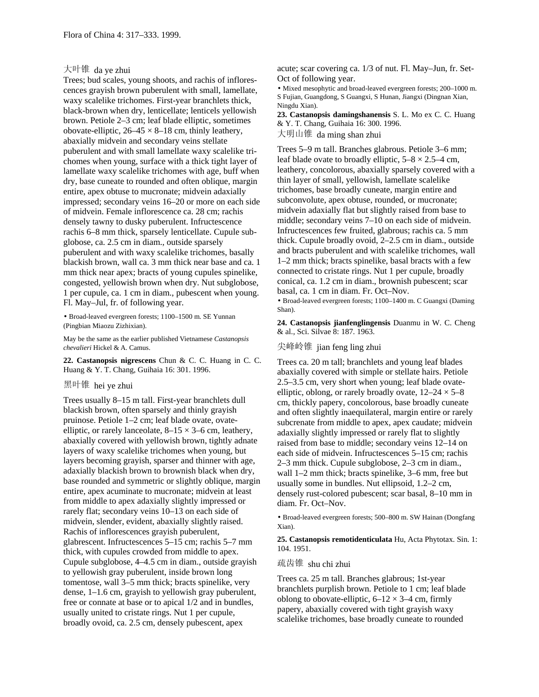### 大叶锥 da ye zhui

Trees; bud scales, young shoots, and rachis of inflorescences grayish brown puberulent with small, lamellate, waxy scalelike trichomes. First-year branchlets thick, black-brown when dry, lenticellate; lenticels yellowish brown. Petiole 2–3 cm; leaf blade elliptic, sometimes obovate-elliptic,  $26-45 \times 8-18$  cm, thinly leathery, abaxially midvein and secondary veins stellate puberulent and with small lamellate waxy scalelike trichomes when young, surface with a thick tight layer of lamellate waxy scalelike trichomes with age, buff when dry, base cuneate to rounded and often oblique, margin entire, apex obtuse to mucronate; midvein adaxially impressed; secondary veins 16–20 or more on each side of midvein. Female inflorescence ca. 28 cm; rachis densely tawny to dusky puberulent. Infructescence rachis 6–8 mm thick, sparsely lenticellate. Cupule subglobose, ca. 2.5 cm in diam., outside sparsely puberulent and with waxy scalelike trichomes, basally blackish brown, wall ca. 3 mm thick near base and ca. 1 mm thick near apex; bracts of young cupules spinelike, congested, yellowish brown when dry. Nut subglobose, 1 per cupule, ca. 1 cm in diam., pubescent when young. Fl. May–Jul, fr. of following year.

• Broad-leaved evergreen forests; 1100–1500 m. SE Yunnan (Pingbian Miaozu Zizhixian).

May be the same as the earlier published Vietnamese *Castanopsis chevalieri* Hickel & A. Camus.

**22. Castanopsis nigrescens** Chun & C. C. Huang in C. C. Huang & Y. T. Chang, Guihaia 16: 301. 1996.

## 黑叶锥 hei ye zhui

Trees usually 8–15 m tall. First-year branchlets dull blackish brown, often sparsely and thinly grayish pruinose. Petiole 1–2 cm; leaf blade ovate, ovateelliptic, or rarely lanceolate,  $8-15 \times 3-6$  cm, leathery, abaxially covered with yellowish brown, tightly adnate layers of waxy scalelike trichomes when young, but layers becoming grayish, sparser and thinner with age, adaxially blackish brown to brownish black when dry, base rounded and symmetric or slightly oblique, margin entire, apex acuminate to mucronate; midvein at least from middle to apex adaxially slightly impressed or rarely flat; secondary veins 10–13 on each side of midvein, slender, evident, abaxially slightly raised. Rachis of inflorescences grayish puberulent, glabrescent. Infructescences 5–15 cm; rachis 5–7 mm thick, with cupules crowded from middle to apex. Cupule subglobose, 4–4.5 cm in diam., outside grayish to yellowish gray puberulent, inside brown long tomentose, wall 3–5 mm thick; bracts spinelike, very dense, 1–1.6 cm, grayish to yellowish gray puberulent, free or connate at base or to apical 1/2 and in bundles, usually united to cristate rings. Nut 1 per cupule, broadly ovoid, ca. 2.5 cm, densely pubescent, apex

acute; scar covering ca. 1/3 of nut. Fl. May–Jun, fr. Set-Oct of following year.

• Mixed mesophytic and broad-leaved evergreen forests; 200–1000 m. S Fujian, Guangdong, S Guangxi, S Hunan, Jiangxi (Dingnan Xian, Ningdu Xian).

**23. Castanopsis damingshanensis** S. L. Mo ex C. C. Huang & Y. T. Chang, Guihaia 16: 300. 1996.

大明山锥 da ming shan zhui

Trees 5–9 m tall. Branches glabrous. Petiole 3–6 mm; leaf blade ovate to broadly elliptic,  $5-8 \times 2.5-4$  cm, leathery, concolorous, abaxially sparsely covered with a thin layer of small, yellowish, lamellate scalelike trichomes, base broadly cuneate, margin entire and subconvolute, apex obtuse, rounded, or mucronate; midvein adaxially flat but slightly raised from base to middle; secondary veins 7–10 on each side of midvein. Infructescences few fruited, glabrous; rachis ca. 5 mm thick. Cupule broadly ovoid, 2–2.5 cm in diam., outside and bracts puberulent and with scalelike trichomes, wall 1–2 mm thick; bracts spinelike, basal bracts with a few connected to cristate rings. Nut 1 per cupule, broadly conical, ca. 1.2 cm in diam., brownish pubescent; scar basal, ca. 1 cm in diam. Fr. Oct–Nov.

• Broad-leaved evergreen forests; 1100–1400 m. C Guangxi (Daming Shan).

**24. Castanopsis jianfenglingensis** Duanmu in W. C. Cheng & al., Sci. Silvae 8: 187. 1963.

### 尖峰岭锥 jian feng ling zhui

Trees ca. 20 m tall; branchlets and young leaf blades abaxially covered with simple or stellate hairs. Petiole 2.5–3.5 cm, very short when young; leaf blade ovateelliptic, oblong, or rarely broadly ovate,  $12-24 \times 5-8$ cm, thickly papery, concolorous, base broadly cuneate and often slightly inaequilateral, margin entire or rarely subcrenate from middle to apex, apex caudate; midvein adaxially slightly impressed or rarely flat to slightly raised from base to middle; secondary veins 12–14 on each side of midvein. Infructescences 5–15 cm; rachis 2–3 mm thick. Cupule subglobose, 2–3 cm in diam., wall 1–2 mm thick; bracts spinelike, 3–6 mm, free but usually some in bundles. Nut ellipsoid, 1.2–2 cm, densely rust-colored pubescent; scar basal, 8–10 mm in diam. Fr. Oct–Nov.

• Broad-leaved evergreen forests; 500–800 m. SW Hainan (Dongfang Xian).

**25. Castanopsis remotidenticulata** Hu, Acta Phytotax. Sin. 1: 104. 1951.

### 疏齿锥 shu chi zhui

Trees ca. 25 m tall. Branches glabrous; 1st-year branchlets purplish brown. Petiole to 1 cm; leaf blade oblong to obovate-elliptic,  $6-12 \times 3-4$  cm, firmly papery, abaxially covered with tight grayish waxy scalelike trichomes, base broadly cuneate to rounded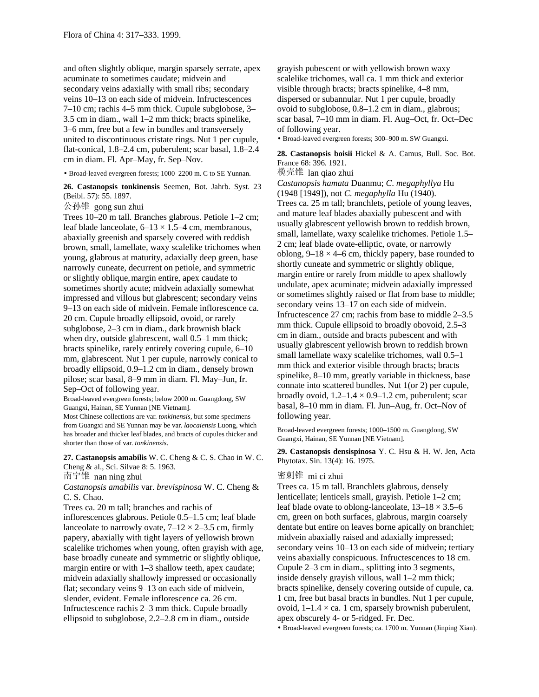and often slightly oblique, margin sparsely serrate, apex acuminate to sometimes caudate; midvein and secondary veins adaxially with small ribs; secondary veins 10–13 on each side of midvein. Infructescences 7–10 cm; rachis 4–5 mm thick. Cupule subglobose, 3– 3.5 cm in diam., wall 1–2 mm thick; bracts spinelike, 3–6 mm, free but a few in bundles and transversely united to discontinuous cristate rings. Nut 1 per cupule, flat-conical, 1.8–2.4 cm, puberulent; scar basal, 1.8–2.4 cm in diam. Fl. Apr–May, fr. Sep–Nov.

• Broad-leaved evergreen forests; 1000–2200 m. C to SE Yunnan.

**26. Castanopsis tonkinensis** Seemen, Bot. Jahrb. Syst. 23 (Beibl. 57): 55. 1897.

公孙锥 gong sun zhui

Trees 10–20 m tall. Branches glabrous. Petiole 1–2 cm; leaf blade lanceolate,  $6-13 \times 1.5-4$  cm, membranous, abaxially greenish and sparsely covered with reddish brown, small, lamellate, waxy scalelike trichomes when young, glabrous at maturity, adaxially deep green, base narrowly cuneate, decurrent on petiole, and symmetric or slightly oblique,margin entire, apex caudate to sometimes shortly acute; midvein adaxially somewhat impressed and villous but glabrescent; secondary veins 9–13 on each side of midvein. Female inflorescence ca. 20 cm. Cupule broadly ellipsoid, ovoid, or rarely subglobose, 2–3 cm in diam., dark brownish black when dry, outside glabrescent, wall 0.5–1 mm thick; bracts spinelike, rarely entirely covering cupule, 6–10 mm, glabrescent. Nut 1 per cupule, narrowly conical to broadly ellipsoid, 0.9–1.2 cm in diam., densely brown pilose; scar basal, 8–9 mm in diam. Fl. May–Jun, fr. Sep–Oct of following year.

Broad-leaved evergreen forests; below 2000 m. Guangdong, SW Guangxi, Hainan, SE Yunnan [NE Vietnam].

Most Chinese collections are var. *tonkinensis,* but some specimens from Guangxi and SE Yunnan may be var. *laocaiensis* Luong, which has broader and thicker leaf blades, and bracts of cupules thicker and shorter than those of var. *tonkinensis*.

**27. Castanopsis amabilis** W. C. Cheng & C. S. Chao in W. C. Cheng & al., Sci. Silvae 8: 5. 1963.

南宁锥 nan ning zhui

*Castanopsis amabilis* var. *brevispinosa* W. C. Cheng & C. S. Chao.

Trees ca. 20 m tall; branches and rachis of

inflorescences glabrous. Petiole 0.5–1.5 cm; leaf blade lanceolate to narrowly ovate,  $7-12 \times 2-3.5$  cm, firmly papery, abaxially with tight layers of yellowish brown scalelike trichomes when young, often grayish with age, base broadly cuneate and symmetric or slightly oblique, margin entire or with 1–3 shallow teeth, apex caudate; midvein adaxially shallowly impressed or occasionally flat; secondary veins 9–13 on each side of midvein, slender, evident. Female inflorescence ca. 26 cm. Infructescence rachis 2–3 mm thick. Cupule broadly ellipsoid to subglobose, 2.2–2.8 cm in diam., outside

grayish pubescent or with yellowish brown waxy scalelike trichomes, wall ca. 1 mm thick and exterior visible through bracts; bracts spinelike, 4–8 mm, dispersed or subannular. Nut 1 per cupule, broadly ovoid to subglobose, 0.8–1.2 cm in diam., glabrous; scar basal, 7–10 mm in diam. Fl. Aug–Oct, fr. Oct–Dec of following year.

• Broad-leaved evergreen forests; 300–900 m. SW Guangxi.

**28. Castanopsis boisii** Hickel & A. Camus, Bull. Soc. Bot. France 68: 396. 1921.

榄壳锥 lan qiao zhui

*Castanopsis hamata* Duanmu; *C*. *megaphyllya* Hu (1948 [1949]), not *C. megaphylla* Hu (1940). Trees ca. 25 m tall; branchlets, petiole of young leaves, and mature leaf blades abaxially pubescent and with usually glabrescent yellowish brown to reddish brown, small, lamellate, waxy scalelike trichomes. Petiole 1.5– 2 cm; leaf blade ovate-elliptic, ovate, or narrowly oblong,  $9-18 \times 4-6$  cm, thickly papery, base rounded to shortly cuneate and symmetric or slightly oblique, margin entire or rarely from middle to apex shallowly undulate, apex acuminate; midvein adaxially impressed or sometimes slightly raised or flat from base to middle; secondary veins 13–17 on each side of midvein. Infructescence 27 cm; rachis from base to middle 2–3.5 mm thick. Cupule ellipsoid to broadly obovoid, 2.5–3 cm in diam., outside and bracts pubescent and with usually glabrescent yellowish brown to reddish brown small lamellate waxy scalelike trichomes, wall 0.5–1 mm thick and exterior visible through bracts; bracts spinelike, 8–10 mm, greatly variable in thickness, base connate into scattered bundles. Nut 1(or 2) per cupule, broadly ovoid,  $1.2-1.4 \times 0.9-1.2$  cm, puberulent; scar basal, 8–10 mm in diam. Fl. Jun–Aug, fr. Oct–Nov of following year.

Broad-leaved evergreen forests; 1000–1500 m. Guangdong, SW Guangxi, Hainan, SE Yunnan [NE Vietnam].

**29. Castanopsis densispinosa** Y. C. Hsu & H. W. Jen, Acta Phytotax. Sin. 13(4): 16. 1975.

#### 密刺锥 mi ci zhui

Trees ca. 15 m tall. Branchlets glabrous, densely lenticellate; lenticels small, grayish. Petiole 1–2 cm; leaf blade ovate to oblong-lanceolate,  $13-18 \times 3.5-6$ cm, green on both surfaces, glabrous, margin coarsely dentate but entire on leaves borne apically on branchlet; midvein abaxially raised and adaxially impressed; secondary veins 10–13 on each side of midvein; tertiary veins abaxially conspicuous. Infructescences to 18 cm. Cupule 2–3 cm in diam., splitting into 3 segments, inside densely grayish villous, wall 1–2 mm thick; bracts spinelike, densely covering outside of cupule, ca. 1 cm, free but basal bracts in bundles. Nut 1 per cupule, ovoid,  $1-1.4 \times$  ca. 1 cm, sparsely brownish puberulent, apex obscurely 4- or 5-ridged. Fr. Dec.

• Broad-leaved evergreen forests; ca. 1700 m. Yunnan (Jinping Xian).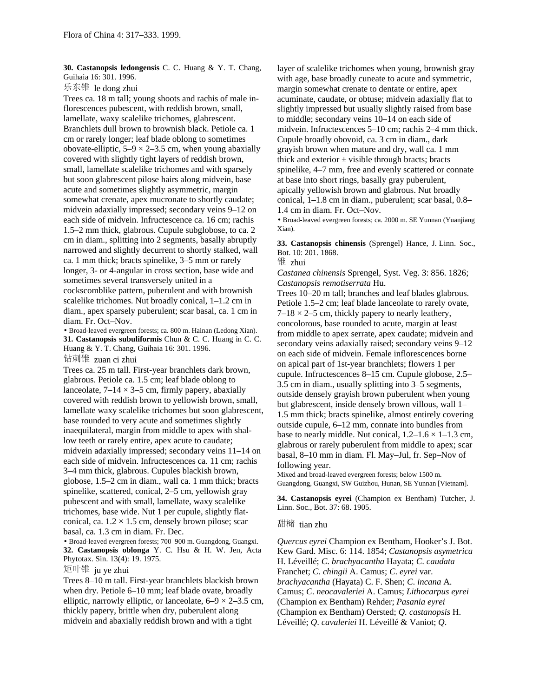**30. Castanopsis ledongensis** C. C. Huang & Y. T. Chang, Guihaia 16: 301. 1996.

乐东锥 le dong zhui

Trees ca. 18 m tall; young shoots and rachis of male inflorescences pubescent, with reddish brown, small, lamellate, waxy scalelike trichomes, glabrescent. Branchlets dull brown to brownish black. Petiole ca. 1 cm or rarely longer; leaf blade oblong to sometimes obovate-elliptic,  $5-9 \times 2-3.5$  cm, when young abaxially covered with slightly tight layers of reddish brown, small, lamellate scalelike trichomes and with sparsely but soon glabrescent pilose hairs along midvein, base acute and sometimes slightly asymmetric, margin somewhat crenate, apex mucronate to shortly caudate; midvein adaxially impressed; secondary veins 9–12 on each side of midvein. Infructescence ca. 16 cm; rachis 1.5–2 mm thick, glabrous. Cupule subglobose, to ca. 2 cm in diam., splitting into 2 segments, basally abruptly narrowed and slightly decurrent to shortly stalked, wall ca. 1 mm thick; bracts spinelike, 3–5 mm or rarely longer, 3- or 4-angular in cross section, base wide and sometimes several transversely united in a cockscomblike pattern, puberulent and with brownish scalelike trichomes. Nut broadly conical, 1–1.2 cm in diam., apex sparsely puberulent; scar basal, ca. 1 cm in diam. Fr. Oct–Nov.

• Broad-leaved evergreen forests; ca. 800 m. Hainan (Ledong Xian). **31. Castanopsis subuliformis** Chun & C. C. Huang in C. C. Huang & Y. T. Chang, Guihaia 16: 301. 1996.

钻刺锥 zuan ci zhui

Trees ca. 25 m tall. First-year branchlets dark brown, glabrous. Petiole ca. 1.5 cm; leaf blade oblong to lanceolate,  $7-14 \times 3-5$  cm, firmly papery, abaxially covered with reddish brown to yellowish brown, small, lamellate waxy scalelike trichomes but soon glabrescent, base rounded to very acute and sometimes slightly inaequilateral, margin from middle to apex with shallow teeth or rarely entire, apex acute to caudate; midvein adaxially impressed; secondary veins 11–14 on each side of midvein. Infructescences ca. 11 cm; rachis 3–4 mm thick, glabrous. Cupules blackish brown, globose, 1.5–2 cm in diam., wall ca. 1 mm thick; bracts spinelike, scattered, conical, 2–5 cm, yellowish gray pubescent and with small, lamellate, waxy scalelike trichomes, base wide. Nut 1 per cupule, slightly flatconical, ca.  $1.2 \times 1.5$  cm, densely brown pilose; scar basal, ca. 1.3 cm in diam. Fr. Dec.

• Broad-leaved evergreen forests; 700–900 m. Guangdong, Guangxi. **32. Castanopsis oblonga** Y. C. Hsu & H. W. Jen, Acta Phytotax. Sin. 13(4): 19. 1975.

矩叶锥 ju ye zhui

Trees 8–10 m tall. First-year branchlets blackish brown when dry. Petiole 6–10 mm; leaf blade ovate, broadly elliptic, narrowly elliptic, or lanceolate,  $6-9 \times 2-3.5$  cm, thickly papery, brittle when dry, puberulent along midvein and abaxially reddish brown and with a tight

layer of scalelike trichomes when young, brownish gray with age, base broadly cuneate to acute and symmetric, margin somewhat crenate to dentate or entire, apex acuminate, caudate, or obtuse; midvein adaxially flat to slightly impressed but usually slightly raised from base to middle; secondary veins 10–14 on each side of midvein. Infructescences 5–10 cm; rachis 2–4 mm thick. Cupule broadly obovoid, ca. 3 cm in diam., dark grayish brown when mature and dry, wall ca. 1 mm thick and exterior  $\pm$  visible through bracts; bracts spinelike, 4–7 mm, free and evenly scattered or connate at base into short rings, basally gray puberulent, apically yellowish brown and glabrous. Nut broadly conical, 1–1.8 cm in diam., puberulent; scar basal, 0.8– 1.4 cm in diam. Fr. Oct–Nov.

• Broad-leaved evergreen forests; ca. 2000 m. SE Yunnan (Yuanjiang Xian).

**33. Castanopsis chinensis** (Sprengel) Hance, J. Linn. Soc., Bot. 10: 201. 1868.

锥 zhui

*Castanea chinensis* Sprengel, Syst. Veg. 3: 856. 1826; *Castanopsis remotiserrata* Hu.

Trees 10–20 m tall; branches and leaf blades glabrous. Petiole 1.5–2 cm; leaf blade lanceolate to rarely ovate,  $7-18 \times 2-5$  cm, thickly papery to nearly leathery, concolorous, base rounded to acute, margin at least from middle to apex serrate, apex caudate; midvein and secondary veins adaxially raised; secondary veins 9–12 on each side of midvein. Female inflorescences borne on apical part of 1st-year branchlets; flowers 1 per cupule. Infructescences 8–15 cm. Cupule globose, 2.5– 3.5 cm in diam., usually splitting into 3–5 segments, outside densely grayish brown puberulent when young but glabrescent, inside densely brown villous, wall 1– 1.5 mm thick; bracts spinelike, almost entirely covering outside cupule, 6–12 mm, connate into bundles from base to nearly middle. Nut conical,  $1.2-1.6 \times 1-1.3$  cm, glabrous or rarely puberulent from middle to apex; scar basal, 8–10 mm in diam. Fl. May–Jul, fr. Sep–Nov of following year.

Mixed and broad-leaved evergreen forests; below 1500 m. Guangdong, Guangxi, SW Guizhou, Hunan, SE Yunnan [Vietnam].

**34. Castanopsis eyrei** (Champion ex Bentham) Tutcher, J. Linn. Soc., Bot. 37: 68. 1905.

#### 甜槠 tian zhu

*Quercus eyrei* Champion ex Bentham, Hooker's J. Bot. Kew Gard. Misc. 6: 114. 1854; *Castanopsis asymetrica* H. Léveillé; *C*. *brachyacantha* Hayata; *C*. *caudata* Franchet; *C*. *chingii* A. Camus; *C*. *eyrei* var. *brachyacantha* (Hayata) C. F. Shen; *C*. *incana* A. Camus; *C*. *neocavaleriei* A. Camus; *Lithocarpus eyrei* (Champion ex Bentham) Rehder; *Pasania eyrei* (Champion ex Bentham) Oersted; *Q. castanopsis* H. Léveillé; *Q*. *cavaleriei* H. Léveillé & Vaniot; *Q*.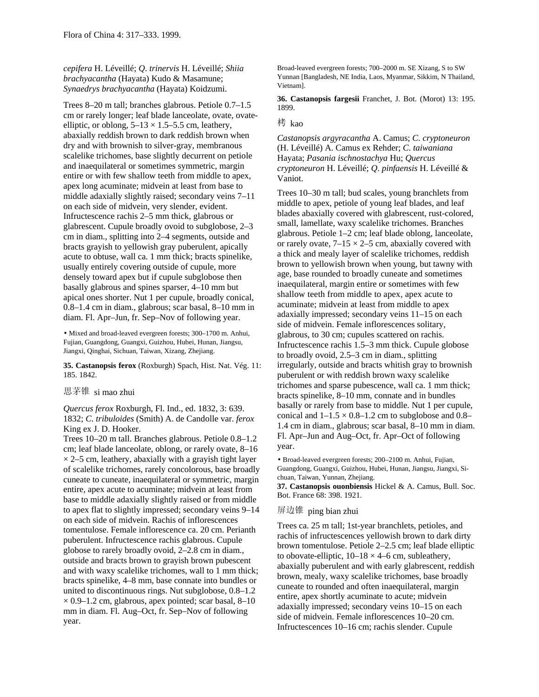*cepifera* H. Léveillé; *Q*. *trinervis* H. Léveillé; *Shiia brachyacantha* (Hayata) Kudo & Masamune; *Synaedrys brachyacantha* (Hayata) Koidzumi.

Trees 8–20 m tall; branches glabrous. Petiole 0.7–1.5 cm or rarely longer; leaf blade lanceolate, ovate, ovateelliptic, or oblong,  $5-13 \times 1.5-5.5$  cm, leathery, abaxially reddish brown to dark reddish brown when dry and with brownish to silver-gray, membranous scalelike trichomes, base slightly decurrent on petiole and inaequilateral or sometimes symmetric, margin entire or with few shallow teeth from middle to apex, apex long acuminate; midvein at least from base to middle adaxially slightly raised; secondary veins 7–11 on each side of midvein, very slender, evident. Infructescence rachis 2–5 mm thick, glabrous or glabrescent. Cupule broadly ovoid to subglobose, 2–3 cm in diam., splitting into 2–4 segments, outside and bracts grayish to yellowish gray puberulent, apically acute to obtuse, wall ca. 1 mm thick; bracts spinelike, usually entirely covering outside of cupule, more densely toward apex but if cupule subglobose then basally glabrous and spines sparser, 4–10 mm but apical ones shorter. Nut 1 per cupule, broadly conical, 0.8–1.4 cm in diam., glabrous; scar basal, 8–10 mm in diam. Fl. Apr–Jun, fr. Sep–Nov of following year.

• Mixed and broad-leaved evergreen forests; 300–1700 m. Anhui, Fujian, Guangdong, Guangxi, Guizhou, Hubei, Hunan, Jiangsu, Jiangxi, Qinghai, Sichuan, Taiwan, Xizang, Zhejiang.

**35. Castanopsis ferox** (Roxburgh) Spach, Hist. Nat. Vég. 11: 185. 1842.

### 思茅锥 si mao zhui

*Quercus ferox* Roxburgh, Fl. Ind., ed. 1832, 3: 639. 1832; *C*. *tribuloides* (Smith) A. de Candolle var. *ferox* King ex J. D. Hooker.

Trees 10–20 m tall. Branches glabrous. Petiole 0.8–1.2 cm; leaf blade lanceolate, oblong, or rarely ovate, 8–16  $\times$  2–5 cm, leathery, abaxially with a grayish tight layer of scalelike trichomes, rarely concolorous, base broadly cuneate to cuneate, inaequilateral or symmetric, margin entire, apex acute to acuminate; midvein at least from base to middle adaxially slightly raised or from middle to apex flat to slightly impressed; secondary veins 9–14 on each side of midvein. Rachis of inflorescences tomentulose. Female inflorescence ca. 20 cm. Perianth puberulent. Infructescence rachis glabrous. Cupule globose to rarely broadly ovoid, 2–2.8 cm in diam., outside and bracts brown to grayish brown pubescent and with waxy scalelike trichomes, wall to 1 mm thick; bracts spinelike, 4–8 mm, base connate into bundles or united to discontinuous rings. Nut subglobose, 0.8–1.2  $\times$  0.9–1.2 cm, glabrous, apex pointed; scar basal, 8–10 mm in diam. Fl. Aug–Oct, fr. Sep–Nov of following year.

Broad-leaved evergreen forests; 700–2000 m. SE Xizang, S to SW Yunnan [Bangladesh, NE India, Laos, Myanmar, Sikkim, N Thailand, Vietnam].

**36. Castanopsis fargesii** Franchet, J. Bot. (Morot) 13: 195. 1899.

### 栲 kao

*Castanopsis argyracantha* A. Camus; *C*. *cryptoneuron* (H. Léveillé) A. Camus ex Rehder; *C*. *taiwaniana* Hayata; *Pasania ischnostachya* Hu; *Quercus cryptoneuron* H. Léveillé; *Q*. *pinfaensis* H. Léveillé & Vaniot.

Trees 10–30 m tall; bud scales, young branchlets from middle to apex, petiole of young leaf blades, and leaf blades abaxially covered with glabrescent, rust-colored, small, lamellate, waxy scalelike trichomes. Branches glabrous. Petiole 1–2 cm; leaf blade oblong, lanceolate, or rarely ovate,  $7-15 \times 2-5$  cm, abaxially covered with a thick and mealy layer of scalelike trichomes, reddish brown to yellowish brown when young, but tawny with age, base rounded to broadly cuneate and sometimes inaequilateral, margin entire or sometimes with few shallow teeth from middle to apex, apex acute to acuminate; midvein at least from middle to apex adaxially impressed; secondary veins 11–15 on each side of midvein. Female inflorescences solitary, glabrous, to 30 cm; cupules scattered on rachis. Infructescence rachis 1.5–3 mm thick. Cupule globose to broadly ovoid, 2.5–3 cm in diam., splitting irregularly, outside and bracts whitish gray to brownish puberulent or with reddish brown waxy scalelike trichomes and sparse pubescence, wall ca. 1 mm thick; bracts spinelike, 8–10 mm, connate and in bundles basally or rarely from base to middle. Nut 1 per cupule, conical and  $1-1.5 \times 0.8-1.2$  cm to subglobose and 0.8– 1.4 cm in diam., glabrous; scar basal, 8–10 mm in diam. Fl. Apr–Jun and Aug–Oct, fr. Apr–Oct of following year.

• Broad-leaved evergreen forests; 200–2100 m. Anhui, Fujian, Guangdong, Guangxi, Guizhou, Hubei, Hunan, Jiangsu, Jiangxi, Sichuan, Taiwan, Yunnan, Zhejiang.

**37. Castanopsis ouonbiensis** Hickel & A. Camus, Bull. Soc. Bot. France 68: 398. 1921.

# 屏边锥 ping bian zhui

Trees ca. 25 m tall; 1st-year branchlets, petioles, and rachis of infructescences yellowish brown to dark dirty brown tomentulose. Petiole 2–2.5 cm; leaf blade elliptic to obovate-elliptic,  $10-18 \times 4-6$  cm, subleathery, abaxially puberulent and with early glabrescent, reddish brown, mealy, waxy scalelike trichomes, base broadly cuneate to rounded and often inaequilateral, margin entire, apex shortly acuminate to acute; midvein adaxially impressed; secondary veins 10–15 on each side of midvein. Female inflorescences 10–20 cm. Infructescences 10–16 cm; rachis slender. Cupule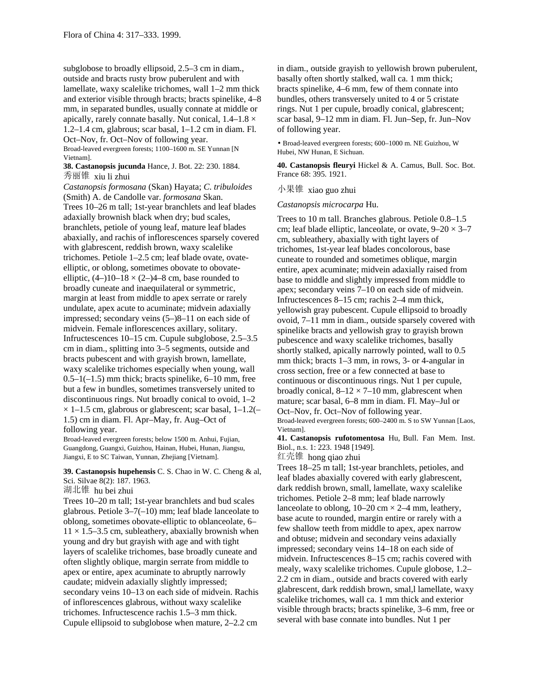subglobose to broadly ellipsoid, 2.5–3 cm in diam., outside and bracts rusty brow puberulent and with lamellate, waxy scalelike trichomes, wall 1–2 mm thick and exterior visible through bracts; bracts spinelike, 4–8 mm, in separated bundles, usually connate at middle or apically, rarely connate basally. Nut conical,  $1.4-1.8 \times$ 1.2–1.4 cm, glabrous; scar basal, 1–1.2 cm in diam. Fl. Oct–Nov, fr. Oct–Nov of following year.

Broad-leaved evergreen forests; 1100–1600 m. SE Yunnan [N Vietnam].

**38. Castanopsis jucunda** Hance, J. Bot. 22: 230. 1884. 秀丽锥 xiu li zhui

*Castanopsis formosana* (Skan) Hayata; *C*. *tribuloides* (Smith) A. de Candolle var. *formosana* Skan. Trees 10–26 m tall; 1st-year branchlets and leaf blades adaxially brownish black when dry; bud scales, branchlets, petiole of young leaf, mature leaf blades abaxially, and rachis of inflorescences sparsely covered with glabrescent, reddish brown, waxy scalelike trichomes. Petiole 1–2.5 cm; leaf blade ovate, ovateelliptic, or oblong, sometimes obovate to obovateelliptic,  $(4-)10-18 \times (2-)4-8$  cm, base rounded to broadly cuneate and inaequilateral or symmetric, margin at least from middle to apex serrate or rarely undulate, apex acute to acuminate; midvein adaxially impressed; secondary veins (5–)8–11 on each side of midvein. Female inflorescences axillary, solitary. Infructescences 10–15 cm. Cupule subglobose, 2.5–3.5 cm in diam., splitting into 3–5 segments, outside and bracts pubescent and with grayish brown, lamellate, waxy scalelike trichomes especially when young, wall  $0.5-1(-1.5)$  mm thick; bracts spinelike,  $6-10$  mm, free but a few in bundles, sometimes transversely united to discontinuous rings. Nut broadly conical to ovoid, 1–2  $\times$  1–1.5 cm, glabrous or glabrescent; scar basal, 1–1.2(– 1.5) cm in diam. Fl. Apr–May, fr. Aug–Oct of following year.

Broad-leaved evergreen forests; below 1500 m. Anhui, Fujian, Guangdong, Guangxi, Guizhou, Hainan, Hubei, Hunan, Jiangsu, Jiangxi, E to SC Taiwan, Yunnan, Zhejiang [Vietnam].

**39. Castanopsis hupehensis** C. S. Chao in W. C. Cheng & al, Sci. Silvae 8(2): 187. 1963.

湖北锥 hu bei zhui

Trees 10–20 m tall; 1st-year branchlets and bud scales glabrous. Petiole 3–7(–10) mm; leaf blade lanceolate to oblong, sometimes obovate-elliptic to oblanceolate, 6–  $11 \times 1.5$ –3.5 cm, subleathery, abaxially brownish when young and dry but grayish with age and with tight layers of scalelike trichomes, base broadly cuneate and often slightly oblique, margin serrate from middle to apex or entire, apex acuminate to abruptly narrowly caudate; midvein adaxially slightly impressed; secondary veins 10–13 on each side of midvein. Rachis of inflorescences glabrous, without waxy scalelike trichomes. Infructescence rachis 1.5–3 mm thick. Cupule ellipsoid to subglobose when mature, 2–2.2 cm

in diam., outside grayish to yellowish brown puberulent, basally often shortly stalked, wall ca. 1 mm thick; bracts spinelike, 4–6 mm, few of them connate into bundles, others transversely united to 4 or 5 cristate rings. Nut 1 per cupule, broadly conical, glabrescent; scar basal, 9–12 mm in diam. Fl. Jun–Sep, fr. Jun–Nov of following year.

• Broad-leaved evergreen forests; 600–1000 m. NE Guizhou, W Hubei, NW Hunan, E Sichuan.

**40. Castanopsis fleuryi** Hickel & A. Camus, Bull. Soc. Bot. France 68: 395. 1921.

小果锥 xiao guo zhui

*Castanopsis microcarpa* Hu.

Trees to 10 m tall. Branches glabrous. Petiole 0.8–1.5 cm; leaf blade elliptic, lanceolate, or ovate,  $9-20 \times 3-7$ cm, subleathery, abaxially with tight layers of trichomes, 1st-year leaf blades concolorous, base cuneate to rounded and sometimes oblique, margin entire, apex acuminate; midvein adaxially raised from base to middle and slightly impressed from middle to apex; secondary veins 7–10 on each side of midvein. Infructescences 8–15 cm; rachis 2–4 mm thick, yellowish gray pubescent. Cupule ellipsoid to broadly ovoid, 7–11 mm in diam., outside sparsely covered with spinelike bracts and yellowish gray to grayish brown pubescence and waxy scalelike trichomes, basally shortly stalked, apically narrowly pointed, wall to 0.5 mm thick; bracts 1–3 mm, in rows, 3- or 4-angular in cross section, free or a few connected at base to continuous or discontinuous rings. Nut 1 per cupule, broadly conical,  $8-12 \times 7-10$  mm, glabrescent when mature; scar basal, 6–8 mm in diam. Fl. May–Jul or Oct–Nov, fr. Oct–Nov of following year. Broad-leaved evergreen forests; 600–2400 m. S to SW Yunnan [Laos, Vietnam].

**41. Castanopsis rufotomentosa** Hu, Bull. Fan Mem. Inst. Biol., n.s. 1: 223. 1948 [1949].

红壳锥 hong qiao zhui

Trees 18–25 m tall; 1st-year branchlets, petioles, and leaf blades abaxially covered with early glabrescent, dark reddish brown, small, lamellate, waxy scalelike trichomes. Petiole 2–8 mm; leaf blade narrowly lanceolate to oblong,  $10-20$  cm  $\times$  2-4 mm, leathery, base acute to rounded, margin entire or rarely with a few shallow teeth from middle to apex, apex narrow and obtuse; midvein and secondary veins adaxially impressed; secondary veins 14–18 on each side of midvein. Infructescences 8–15 cm; rachis covered with mealy, waxy scalelike trichomes. Cupule globose, 1.2– 2.2 cm in diam., outside and bracts covered with early glabrescent, dark reddish brown, smal,l lamellate, waxy scalelike trichomes, wall ca. 1 mm thick and exterior visible through bracts; bracts spinelike, 3–6 mm, free or several with base connate into bundles. Nut 1 per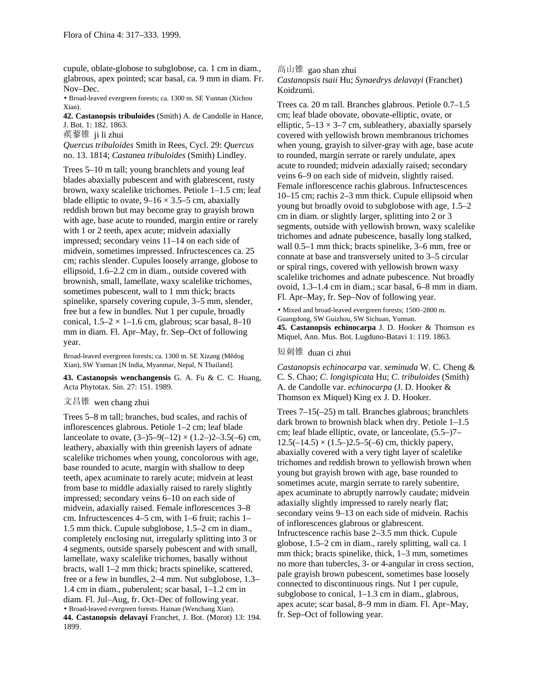cupule, oblate-globose to subglobose, ca. 1 cm in diam., glabrous, apex pointed; scar basal, ca. 9 mm in diam. Fr. Nov–Dec.

• Broad-leaved evergreen forests; ca. 1300 m. SE Yunnan (Xichou Xian).

**42. Castanopsis tribuloides** (Smith) A. de Candolle in Hance, J. Bot. 1: 182. 1863.

蒺藜锥 ji li zhui

*Quercus tribuloides* Smith in Rees, Cycl. 29: *Quercus* no. 13. 1814; *Castanea tribuloides* (Smith) Lindley.

Trees 5–10 m tall; young branchlets and young leaf blades abaxially pubescent and with glabrescent, rusty brown, waxy scalelike trichomes. Petiole 1–1.5 cm; leaf blade elliptic to ovate,  $9-16 \times 3.5-5$  cm, abaxially reddish brown but may become gray to grayish brown with age, base acute to rounded, margin entire or rarely with 1 or 2 teeth, apex acute; midvein adaxially impressed; secondary veins 11–14 on each side of midvein, sometimes impressed. Infructescences ca. 25 cm; rachis slender. Cupules loosely arrange, globose to ellipsoid, 1.6–2.2 cm in diam., outside covered with brownish, small, lamellate, waxy scalelike trichomes, sometimes pubescent, wall to 1 mm thick; bracts spinelike, sparsely covering cupule, 3–5 mm, slender, free but a few in bundles. Nut 1 per cupule, broadly conical,  $1.5-2 \times 1-1.6$  cm, glabrous; scar basal, 8-10 mm in diam. Fl. Apr–May, fr. Sep–Oct of following year.

Broad-leaved evergreen forests; ca. 1300 m. SE Xizang (Mêdog Xian), SW Yunnan [N India, Myanmar, Nepal, N Thailand].

**43. Castanopsis wenchangensis** G. A. Fu & C. C. Huang, Acta Phytotax. Sin. 27: 151. 1989.

### 文昌锥 wen chang zhui

Trees 5–8 m tall; branches, bud scales, and rachis of inflorescences glabrous. Petiole 1–2 cm; leaf blade lanceolate to ovate,  $(3-)5-9(-12) \times (1.2-)2-3.5(-6)$  cm, leathery, abaxially with thin greenish layers of adnate scalelike trichomes when young, concolorous with age, base rounded to acute, margin with shallow to deep teeth, apex acuminate to rarely acute; midvein at least from base to middle adaxially raised to rarely slightly impressed; secondary veins 6–10 on each side of midvein, adaxially raised. Female inflorescences 3–8 cm. Infructescences 4–5 cm, with 1–6 fruit; rachis 1– 1.5 mm thick. Cupule subglobose, 1.5–2 cm in diam., completely enclosing nut, irregularly splitting into 3 or 4 segments, outside sparsely pubescent and with small, lamellate, waxy scalelike trichomes, basally without bracts, wall 1–2 mm thick; bracts spinelike, scattered, free or a few in bundles, 2–4 mm. Nut subglobose, 1.3– 1.4 cm in diam., puberulent; scar basal, 1–1.2 cm in diam. Fl. Jul–Aug, fr. Oct–Dec of following year. • Broad-leaved evergreen forests. Hainan (Wenchang Xian). **44. Castanopsis delavayi** Franchet, J. Bot. (Morot) 13: 194. 1899.

高山锥 gao shan zhui *Castanopsis tsaii* Hu; *Synaedrys delavayi* (Franchet) Koidzumi.

Trees ca. 20 m tall. Branches glabrous. Petiole 0.7–1.5 cm; leaf blade obovate, obovate-elliptic, ovate, or elliptic,  $5-13 \times 3-7$  cm, subleathery, abaxially sparsely covered with yellowish brown membranous trichomes when young, grayish to silver-gray with age, base acute to rounded, margin serrate or rarely undulate, apex acute to rounded; midvein adaxially raised; secondary veins 6–9 on each side of midvein, slightly raised. Female inflorescence rachis glabrous. Infructescences 10–15 cm; rachis 2–3 mm thick. Cupule ellipsoid when young but broadly ovoid to subglobose with age, 1.5–2 cm in diam. or slightly larger, splitting into 2 or 3 segments, outside with yellowish brown, waxy scalelike trichomes and adnate pubescence, basally long stalked, wall 0.5–1 mm thick; bracts spinelike, 3–6 mm, free or connate at base and transversely united to 3–5 circular or spiral rings, covered with yellowish brown waxy scalelike trichomes and adnate pubescence. Nut broadly ovoid, 1.3–1.4 cm in diam.; scar basal, 6–8 mm in diam. Fl. Apr–May, fr. Sep–Nov of following year.

• Mixed and broad-leaved evergreen forests; 1500–2800 m. Guangdong, SW Guizhou, SW Sichuan, Yunnan. **45. Castanopsis echinocarpa** J. D. Hooker & Thomson ex Miquel, Ann. Mus. Bot. Lugduno-Batavi 1: 119. 1863.

## 短刺锥 duan ci zhui

*Castanopsis echinocarpa* var. *seminuda* W. C. Cheng & C. S. Chao; *C*. *longispicata* Hu; *C*. *tribuloides* (Smith) A. de Candolle var. *echinocarpa* (J. D. Hooker & Thomson ex Miquel) King ex J. D. Hooker.

Trees 7–15(–25) m tall. Branches glabrous; branchlets dark brown to brownish black when dry. Petiole 1–1.5 cm; leaf blade elliptic, ovate, or lanceolate, (5.5–)7–  $12.5(-14.5) \times (1.5-2.5-5(-6) \text{ cm}, \text{thicky papery},$ abaxially covered with a very tight layer of scalelike trichomes and reddish brown to yellowish brown when young but grayish brown with age, base rounded to sometimes acute, margin serrate to rarely subentire, apex acuminate to abruptly narrowly caudate; midvein adaxially slightly impressed to rarely nearly flat; secondary veins 9–13 on each side of midvein. Rachis of inflorescences glabrous or glabrescent. Infructescence rachis base 2–3.5 mm thick. Cupule globose, 1.5–2 cm in diam., rarely splitting, wall ca. 1 mm thick; bracts spinelike, thick, 1–3 mm, sometimes no more than tubercles, 3- or 4-angular in cross section, pale grayish brown pubescent, sometimes base loosely connected to discontinuous rings. Nut 1 per cupule, subglobose to conical, 1–1.3 cm in diam., glabrous, apex acute; scar basal, 8–9 mm in diam. Fl. Apr–May, fr. Sep–Oct of following year.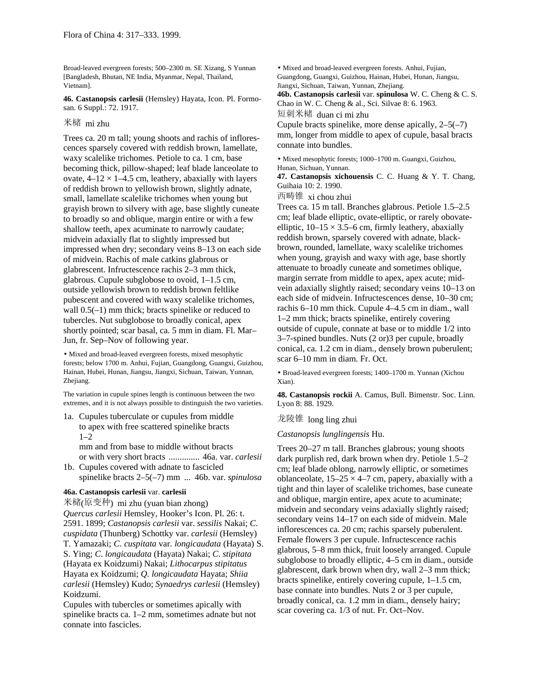Broad-leaved evergreen forests; 500–2300 m. SE Xizang, S Yunnan [Bangladesh, Bhutan, NE India, Myanmar, Nepal, Thailand, Vietnam].

**46. Castanopsis carlesii** (Hemsley) Hayata, Icon. Pl. Formosan. 6 Suppl.: 72. 1917.

### 米槠 mi zhu

Trees ca. 20 m tall; young shoots and rachis of inflorescences sparsely covered with reddish brown, lamellate, waxy scalelike trichomes. Petiole to ca. 1 cm, base becoming thick, pillow-shaped; leaf blade lanceolate to ovate,  $4-12 \times 1-4.5$  cm, leathery, abaxially with layers of reddish brown to yellowish brown, slightly adnate, small, lamellate scalelike trichomes when young but grayish brown to silvery with age, base slightly cuneate to broadly so and oblique, margin entire or with a few shallow teeth, apex acuminate to narrowly caudate; midvein adaxially flat to slightly impressed but impressed when dry; secondary veins 8–13 on each side of midvein. Rachis of male catkins glabrous or glabrescent. Infructescence rachis 2–3 mm thick, glabrous. Cupule subglobose to ovoid, 1–1.5 cm, outside yellowish brown to reddish brown feltlike pubescent and covered with waxy scalelike trichomes, wall  $0.5(-1)$  mm thick; bracts spinelike or reduced to tubercles. Nut subglobose to broadly conical, apex shortly pointed; scar basal, ca. 5 mm in diam. Fl. Mar– Jun, fr. Sep–Nov of following year.

• Mixed and broad-leaved evergreen forests, mixed mesophytic forests; below 1700 m. Anhui, Fujian, Guangdong, Guangxi, Guizhou, Hainan, Hubei, Hunan, Jiangsu, Jiangxi, Sichuan, Taiwan, Yunnan, Zhejiang.

The variation in cupule spines length is continuous between the two extremes, and it is not always possible to distinguish the two varieties.

1a. Cupules tuberculate or cupules from middle to apex with free scattered spinelike bracts 1–2

mm and from base to middle without bracts or with very short bracts .............. 46a. var. *carlesii*

1b. Cupules covered with adnate to fascicled spinelike bracts 2–5(–7) mm ... 46b. var. *spinulosa*

### **46a. Castanopsis carlesii** var. **carlesii**

米槠(原变种) mi zhu (yuan bian zhong) *Quercus carlesii* Hemsley, Hooker's Icon. Pl. 26: t. 2591. 1899; *Castanopsis carlesii* var. *sessilis* Nakai; *C*. *cuspidata* (Thunberg) Schottky var. *carlesii* (Hemsley) T. Yamazaki; *C*. *cuspitata* var. *longicaudata* (Hayata) S. S. Ying; *C*. *longicaudata* (Hayata) Nakai; *C*. *stipitata* (Hayata ex Koidzumi) Nakai; *Lithocarpus stipitatus* Hayata ex Koidzumi; *Q. longicaudata* Hayata; *Shiia carlesii* (Hemsley) Kudo; *Synaedrys carlesii* (Hemsley) Koidzumi.

Cupules with tubercles or sometimes apically with spinelike bracts ca. 1–2 mm, sometimes adnate but not connate into fascicles.

• Mixed and broad-leaved evergreen forests. Anhui, Fujian, Guangdong, Guangxi, Guizhou, Hainan, Hubei, Hunan, Jiangsu, Jiangxi, Sichuan, Taiwan, Yunnan, Zhejiang.

**46b. Castanopsis carlesii** var. **spinulosa** W. C. Cheng & C. S. Chao in W. C. Cheng & al., Sci. Silvae 8: 6. 1963.

短刺米槠 duan ci mi zhu

Cupule bracts spinelike, more dense apically, 2–5(–7) mm, longer from middle to apex of cupule, basal bracts connate into bundles.

• Mixed mesophytic forests; 1000–1700 m. Guangxi, Guizhou, Hunan, Sichuan, Yunnan.

**47. Castanopsis xichouensis** C. C. Huang & Y. T. Chang, Guihaia 10: 2. 1990.

西畴锥 xi chou zhui

Trees ca. 15 m tall. Branches glabrous. Petiole 1.5–2.5 cm; leaf blade elliptic, ovate-elliptic, or rarely obovateelliptic,  $10-15 \times 3.5-6$  cm, firmly leathery, abaxially reddish brown, sparsely covered with adnate, blackbrown, rounded, lamellate, waxy scalelike trichomes when young, grayish and waxy with age, base shortly attenuate to broadly cuneate and sometimes oblique, margin serrate from middle to apex, apex acute; midvein adaxially slightly raised; secondary veins 10–13 on each side of midvein. Infructescences dense, 10–30 cm; rachis 6–10 mm thick. Cupule 4–4.5 cm in diam., wall 1–2 mm thick; bracts spinelike, entirely covering outside of cupule, connate at base or to middle 1/2 into 3–7-spined bundles. Nuts (2 or)3 per cupule, broadly conical, ca. 1.2 cm in diam., densely brown puberulent; scar 6–10 mm in diam. Fr. Oct.

• Broad-leaved evergreen forests; 1400–1700 m. Yunnan (Xichou Xian).

**48. Castanopsis rockii** A. Camus, Bull. Bimenstr. Soc. Linn. Lyon 8: 88. 1929.

龙陵锥 long ling zhui

*Castanopsis lunglingensis* Hu.

Trees 20–27 m tall. Branches glabrous; young shoots dark purplish red, dark brown when dry. Petiole 1.5–2 cm; leaf blade oblong, narrowly elliptic, or sometimes oblanceolate,  $15-25 \times 4-7$  cm, papery, abaxially with a tight and thin layer of scalelike trichomes, base cuneate and oblique, margin entire, apex acute to acuminate; midvein and secondary veins adaxially slightly raised; secondary veins 14–17 on each side of midvein. Male inflorescences ca. 20 cm; rachis sparsely puberulent. Female flowers 3 per cupule. Infructescence rachis glabrous, 5–8 mm thick, fruit loosely arranged. Cupule subglobose to broadly elliptic, 4–5 cm in diam., outside glabrescent, dark brown when dry, wall 2–3 mm thick; bracts spinelike, entirely covering cupule, 1–1.5 cm, base connate into bundles. Nuts 2 or 3 per cupule, broadly conical, ca. 1.2 mm in diam., densely hairy; scar covering ca. 1/3 of nut. Fr. Oct–Nov.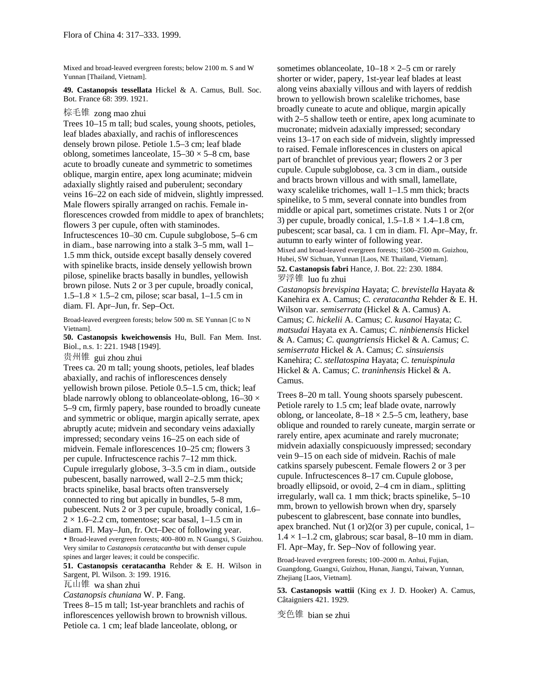Mixed and broad-leaved evergreen forests; below 2100 m. S and W Yunnan [Thailand, Vietnam].

**49. Castanopsis tessellata** Hickel & A. Camus, Bull. Soc. Bot. France 68: 399. 1921.

## 棕毛锥 zong mao zhui

Trees 10–15 m tall; bud scales, young shoots, petioles, leaf blades abaxially, and rachis of inflorescences densely brown pilose. Petiole 1.5–3 cm; leaf blade oblong, sometimes lanceolate,  $15-30 \times 5-8$  cm, base acute to broadly cuneate and symmetric to sometimes oblique, margin entire, apex long acuminate; midvein adaxially slightly raised and puberulent; secondary veins 16–22 on each side of midvein, slightly impressed. Male flowers spirally arranged on rachis. Female inflorescences crowded from middle to apex of branchlets; flowers 3 per cupule, often with staminodes. Infructescences 10–30 cm. Cupule subglobose, 5–6 cm in diam., base narrowing into a stalk 3–5 mm, wall 1– 1.5 mm thick, outside except basally densely covered with spinelike bracts, inside densely yellowish brown pilose, spinelike bracts basally in bundles, yellowish brown pilose. Nuts 2 or 3 per cupule, broadly conical,  $1.5-1.8 \times 1.5-2$  cm, pilose; scar basal,  $1-1.5$  cm in diam. Fl. Apr–Jun, fr. Sep–Oct.

Broad-leaved evergreen forests; below 500 m. SE Yunnan [C to N Vietnam].

**50. Castanopsis kweichowensis** Hu, Bull. Fan Mem. Inst. Biol., n.s. 1: 221. 1948 [1949].

贵州锥 gui zhou zhui

Trees ca. 20 m tall; young shoots, petioles, leaf blades abaxially, and rachis of inflorescences densely yellowish brown pilose. Petiole 0.5–1.5 cm, thick; leaf blade narrowly oblong to oblanceolate-oblong,  $16-30 \times$ 5–9 cm, firmly papery, base rounded to broadly cuneate and symmetric or oblique, margin apically serrate, apex abruptly acute; midvein and secondary veins adaxially impressed; secondary veins 16–25 on each side of midvein. Female inflorescences 10–25 cm; flowers 3 per cupule. Infructescence rachis 7–12 mm thick. Cupule irregularly globose, 3–3.5 cm in diam., outside pubescent, basally narrowed, wall 2–2.5 mm thick; bracts spinelike, basal bracts often transversely connected to ring but apically in bundles, 5–8 mm, pubescent. Nuts 2 or 3 per cupule, broadly conical, 1.6–  $2 \times 1.6$ –2.2 cm, tomentose; scar basal, 1–1.5 cm in diam. Fl. May–Jun, fr. Oct–Dec of following year. • Broad-leaved evergreen forests; 400–800 m. N Guangxi, S Guizhou. Very similar to *Castanopsis ceratacantha* but with denser cupule

spines and larger leaves; it could be conspecific. **51. Castanopsis ceratacantha** Rehder & E. H. Wilson in Sargent, Pl. Wilson. 3: 199. 1916.

瓦山锥 wa shan zhui

*Castanopsis chuniana* W. P. Fang.

Trees 8–15 m tall; 1st-year branchlets and rachis of inflorescences yellowish brown to brownish villous. Petiole ca. 1 cm; leaf blade lanceolate, oblong, or

sometimes oblanceolate,  $10-18 \times 2-5$  cm or rarely shorter or wider, papery, 1st-year leaf blades at least along veins abaxially villous and with layers of reddish brown to yellowish brown scalelike trichomes, base broadly cuneate to acute and oblique, margin apically with 2–5 shallow teeth or entire, apex long acuminate to mucronate; midvein adaxially impressed; secondary veins 13–17 on each side of midvein, slightly impressed to raised. Female inflorescences in clusters on apical part of branchlet of previous year; flowers 2 or 3 per cupule. Cupule subglobose, ca. 3 cm in diam., outside and bracts brown villous and with small, lamellate, waxy scalelike trichomes, wall 1–1.5 mm thick; bracts spinelike, to 5 mm, several connate into bundles from middle or apical part, sometimes cristate. Nuts 1 or 2(or 3) per cupule, broadly conical,  $1.5-1.8 \times 1.4-1.8$  cm, pubescent; scar basal, ca. 1 cm in diam. Fl. Apr–May, fr. autumn to early winter of following year. Mixed and broad-leaved evergreen forests; 1500–2500 m. Guizhou, Hubei, SW Sichuan, Yunnan [Laos, NE Thailand, Vietnam]. **52. Castanopsis fabri** Hance, J. Bot. 22: 230. 1884.

罗浮锥 luo fu zhui

*Castanopsis brevispina* Hayata; *C*. *brevistella* Hayata & Kanehira ex A. Camus; *C. ceratacantha* Rehder & E. H. Wilson var. *semiserrata* (Hickel & A. Camus) A. Camus; *C*. *hickelii* A. Camus; *C*. *kusanoi* Hayata; *C*. *matsudai* Hayata ex A. Camus; *C*. *ninbienensis* Hickel & A. Camus; *C*. *quangtriensis* Hickel & A. Camus; *C*. *semiserrata* Hickel & A. Camus; *C*. *sinsuiensis* Kanehira; *C*. *stellatospina* Hayata; *C*. *tenuispinula* Hickel & A. Camus; *C*. *traninhensis* Hickel & A. Camus.

Trees 8–20 m tall. Young shoots sparsely pubescent. Petiole rarely to 1.5 cm; leaf blade ovate, narrowly oblong, or lanceolate,  $8-18 \times 2.5-5$  cm, leathery, base oblique and rounded to rarely cuneate, margin serrate or rarely entire, apex acuminate and rarely mucronate; midvein adaxially conspicuously impressed; secondary vein 9–15 on each side of midvein. Rachis of male catkins sparsely pubescent. Female flowers 2 or 3 per cupule. Infructescences 8–17 cm.Cupule globose, broadly ellipsoid, or ovoid, 2–4 cm in diam., splitting irregularly, wall ca. 1 mm thick; bracts spinelike, 5–10 mm, brown to yellowish brown when dry, sparsely pubescent to glabrescent, base connate into bundles, apex branched. Nut (1 or)2(or 3) per cupule, conical, 1–  $1.4 \times 1 - 1.2$  cm, glabrous; scar basal, 8–10 mm in diam. Fl. Apr–May, fr. Sep–Nov of following year.

Broad-leaved evergreen forests; 100–2000 m. Anhui, Fujian, Guangdong, Guangxi, Guizhou, Hunan, Jiangxi, Taiwan, Yunnan, Zhejiang [Laos, Vietnam].

**53. Castanopsis wattii** (King ex J. D. Hooker) A. Camus, Câtaigniers 421. 1929.

变色锥 bian se zhui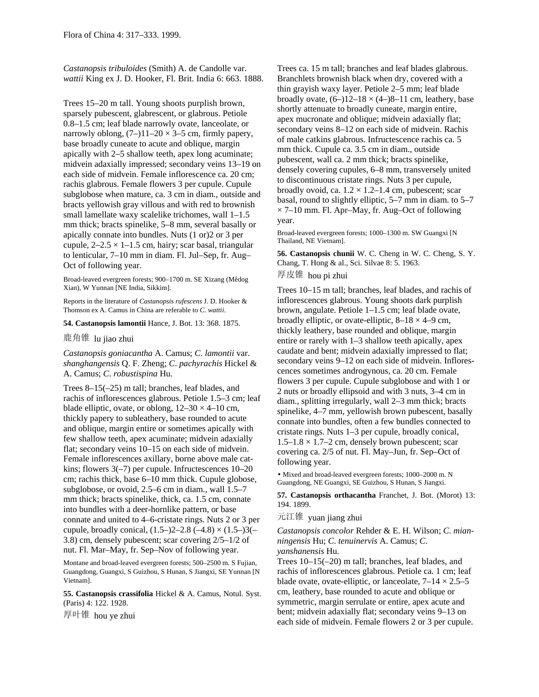*Castanopsis tribuloides* (Smith) A. de Candolle var. *wattii* King ex J. D. Hooker, Fl. Brit. India 6: 663. 1888.

Trees 15–20 m tall. Young shoots purplish brown, sparsely pubescent, glabrescent, or glabrous. Petiole 0.8–1.5 cm; leaf blade narrowly ovate, lanceolate, or narrowly oblong,  $(7-)11-20 \times 3-5$  cm, firmly papery, base broadly cuneate to acute and oblique, margin apically with 2–5 shallow teeth, apex long acuminate; midvein adaxially impressed; secondary veins 13–19 on each side of midvein. Female inflorescence ca. 20 cm; rachis glabrous. Female flowers 3 per cupule. Cupule subglobose when mature, ca. 3 cm in diam., outside and bracts yellowish gray villous and with red to brownish small lamellate waxy scalelike trichomes, wall 1–1.5 mm thick; bracts spinelike, 5–8 mm, several basally or apically connate into bundles. Nuts (1 or)2 or 3 per cupule,  $2-2.5 \times 1-1.5$  cm, hairy; scar basal, triangular to lenticular, 7–10 mm in diam. Fl. Jul–Sep, fr. Aug– Oct of following year.

Broad-leaved evergreen forests; 900–1700 m. SE Xizang (Mêdog Xian), W Yunnan [NE India, Sikkim].

Reports in the literature of *Castanopsis rufescens* J. D. Hooker & Thomson ex A. Camus in China are referable to *C. wattii*.

**54. Castanopsis lamontii** Hance, J. Bot. 13: 368. 1875.

鹿角锥 lu jiao zhui

*Castanopsis goniacantha* A. Camus; *C*. *lamontii* var. *shanghangensis* Q. F. Zheng; *C*. *pachyrachis* Hickel & A. Camus; *C*. *robustispina* Hu.

Trees 8–15(–25) m tall; branches, leaf blades, and rachis of inflorescences glabrous. Petiole 1.5–3 cm; leaf blade elliptic, ovate, or oblong,  $12-30 \times 4-10$  cm, thickly papery to subleathery, base rounded to acute and oblique, margin entire or sometimes apically with few shallow teeth, apex acuminate; midvein adaxially flat; secondary veins 10–15 on each side of midvein. Female inflorescences axillary, borne above male catkins; flowers 3(–7) per cupule. Infructescences 10–20 cm; rachis thick, base 6–10 mm thick. Cupule globose, subglobose, or ovoid, 2.5–6 cm in diam., wall 1.5–7 mm thick; bracts spinelike, thick, ca. 1.5 cm, connate into bundles with a deer-hornlike pattern, or base connate and united to 4–6-cristate rings. Nuts 2 or 3 per cupule, broadly conical,  $(1.5–)2–2.8 (-4.8) \times (1.5–)3(–)$ 3.8) cm, densely pubescent; scar covering 2/5–1/2 of nut. Fl. Mar–May, fr. Sep–Nov of following year.

Montane and broad-leaved evergreen forests; 500–2500 m. S Fujian, Guangdong, Guangxi, S Guizhou, S Hunan, S Jiangxi, SE Yunnan [N Vietnam].

**55. Castanopsis crassifolia** Hickel & A. Camus, Notul. Syst. (Paris) 4: 122. 1928.

厚叶锥 hou ye zhui

Trees ca. 15 m tall; branches and leaf blades glabrous. Branchlets brownish black when dry, covered with a thin grayish waxy layer. Petiole 2–5 mm; leaf blade broadly ovate,  $(6-12-18 \times (4-8-11)$  cm, leathery, base shortly attenuate to broadly cuneate, margin entire, apex mucronate and oblique; midvein adaxially flat; secondary veins 8–12 on each side of midvein. Rachis of male catkins glabrous. Infructescence rachis ca. 5 mm thick. Cupule ca. 3.5 cm in diam., outside pubescent, wall ca. 2 mm thick; bracts spinelike, densely covering cupules, 6–8 mm, transversely united to discontinuous cristate rings. Nuts 3 per cupule, broadly ovoid, ca.  $1.2 \times 1.2$ –1.4 cm, pubescent; scar basal, round to slightly elliptic, 5–7 mm in diam. to 5–7  $\times$  7–10 mm. Fl. Apr–May, fr. Aug–Oct of following year.

Broad-leaved evergreen forests; 1000–1300 m. SW Guangxi [N Thailand, NE Vietnam].

**56. Castanopsis chunii** W. C. Cheng in W. C. Cheng, S. Y. Chang, T. Hong & al., Sci. Silvae 8: 5. 1963. 厚皮锥 hou pi zhui

Trees 10–15 m tall; branches, leaf blades, and rachis of inflorescences glabrous. Young shoots dark purplish brown, angulate. Petiole 1–1.5 cm; leaf blade ovate, broadly elliptic, or ovate-elliptic,  $8-18 \times 4-9$  cm, thickly leathery, base rounded and oblique, margin entire or rarely with 1–3 shallow teeth apically, apex caudate and bent; midvein adaxially impressed to flat; secondary veins 9–12 on each side of midvein. Inflorescences sometimes androgynous, ca. 20 cm. Female flowers 3 per cupule. Cupule subglobose and with 1 or 2 nuts or broadly ellipsoid and with 3 nuts, 3–4 cm in diam., splitting irregularly, wall 2–3 mm thick; bracts spinelike, 4–7 mm, yellowish brown pubescent, basally connate into bundles, often a few bundles connected to cristate rings. Nuts 1–3 per cupule, broadly conical,  $1.5-1.8 \times 1.7-2$  cm, densely brown pubescent; scar covering ca. 2/5 of nut. Fl. May–Jun, fr. Sep–Oct of following year.

• Mixed and broad-leaved evergreen forests; 1000–2000 m. N Guangdong, NE Guangxi, SE Guizhou, S Hunan, S Jiangxi.

**57. Castanopsis orthacantha** Franchet, J. Bot. (Morot) 13: 194. 1899.

元江锥 yuan jiang zhui

*Castanopsis concolor* Rehder & E. H. Wilson; *C*. *mianningensis* Hu; *C*. *tenuinervis* A. Camus; *C*. *yanshanensis* Hu.

Trees 10–15(–20) m tall; branches, leaf blades, and rachis of inflorescences glabrous. Petiole ca. 1 cm; leaf blade ovate, ovate-elliptic, or lanceolate,  $7-14 \times 2.5-5$ cm, leathery, base rounded to acute and oblique or symmetric, margin serrulate or entire, apex acute and bent; midvein adaxially flat; secondary veins 9–13 on each side of midvein. Female flowers 2 or 3 per cupule.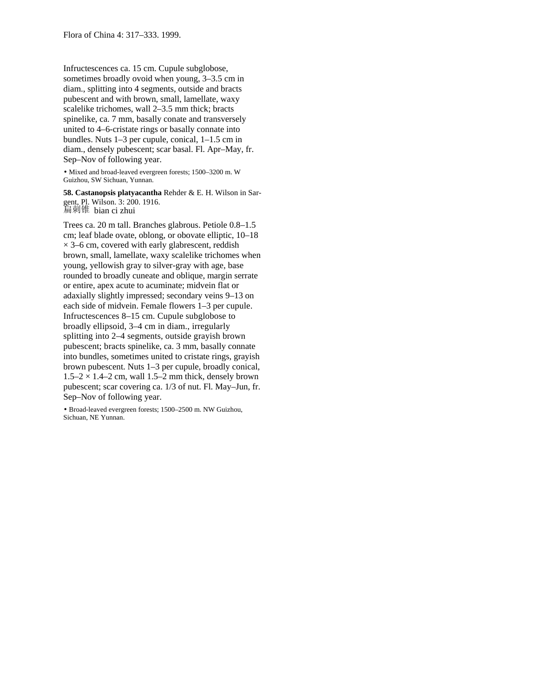Infructescences ca. 15 cm. Cupule subglobose, sometimes broadly ovoid when young, 3–3.5 cm in diam., splitting into 4 segments, outside and bracts pubescent and with brown, small, lamellate, waxy scalelike trichomes, wall 2–3.5 mm thick; bracts spinelike, ca. 7 mm, basally conate and transversely united to 4–6-cristate rings or basally connate into bundles. Nuts 1–3 per cupule, conical, 1–1.5 cm in diam., densely pubescent; scar basal. Fl. Apr–May, fr. Sep–Nov of following year.

• Mixed and broad-leaved evergreen forests; 1500–3200 m. W Guizhou, SW Sichuan, Yunnan.

**58. Castanopsis platyacantha** Rehder & E. H. Wilson in Sargent, Pl. Wilson. 3: 200. 1916. 扁刺锥 bian ci zhui

Trees ca. 20 m tall. Branches glabrous. Petiole 0.8–1.5 cm; leaf blade ovate, oblong, or obovate elliptic, 10–18  $\times$  3–6 cm, covered with early glabrescent, reddish brown, small, lamellate, waxy scalelike trichomes when young, yellowish gray to silver-gray with age, base rounded to broadly cuneate and oblique, margin serrate or entire, apex acute to acuminate; midvein flat or adaxially slightly impressed; secondary veins 9–13 on each side of midvein. Female flowers 1–3 per cupule. Infructescences 8–15 cm. Cupule subglobose to broadly ellipsoid, 3–4 cm in diam., irregularly splitting into 2–4 segments, outside grayish brown pubescent; bracts spinelike, ca. 3 mm, basally connate into bundles, sometimes united to cristate rings, grayish brown pubescent. Nuts 1–3 per cupule, broadly conical,  $1.5-2 \times 1.4-2$  cm, wall 1.5-2 mm thick, densely brown pubescent; scar covering ca. 1/3 of nut. Fl. May–Jun, fr. Sep–Nov of following year.

• Broad-leaved evergreen forests; 1500–2500 m. NW Guizhou, Sichuan, NE Yunnan.